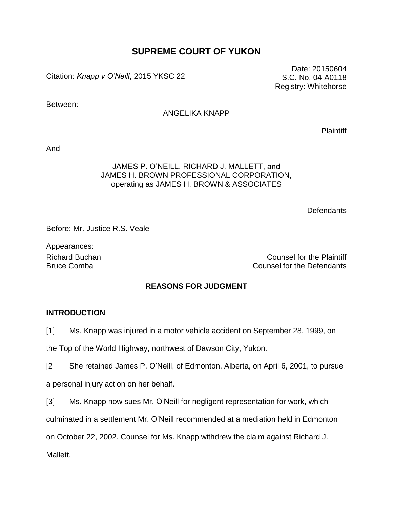# **SUPREME COURT OF YUKON**

Citation: *Knapp v O'Neill*, 2015 YKSC 22

Between:

### ANGELIKA KNAPP

**Plaintiff** 

Date: 20150604 S.C. No. 04-A0118 Registry: Whitehorse

And

### JAMES P. O'NEILL, RICHARD J. MALLETT, and JAMES H. BROWN PROFESSIONAL CORPORATION, operating as JAMES H. BROWN & ASSOCIATES

**Defendants** 

Before: Mr. Justice R.S. Veale

Appearances:

Richard Buchan Counsel for the Plaintiff Bruce Comba Counsel for the Defendants

### **REASONS FOR JUDGMENT**

### **INTRODUCTION**

[1] Ms. Knapp was injured in a motor vehicle accident on September 28, 1999, on

the Top of the World Highway, northwest of Dawson City, Yukon.

[2] She retained James P. O'Neill, of Edmonton, Alberta, on April 6, 2001, to pursue

a personal injury action on her behalf.

[3] Ms. Knapp now sues Mr. O'Neill for negligent representation for work, which

culminated in a settlement Mr. O'Neill recommended at a mediation held in Edmonton

on October 22, 2002. Counsel for Ms. Knapp withdrew the claim against Richard J.

Mallett.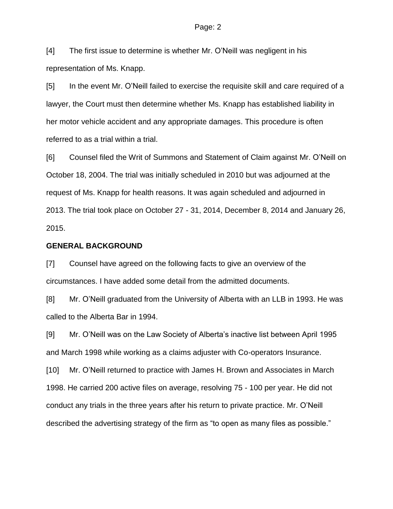#### Page: 2

[4] The first issue to determine is whether Mr. O'Neill was negligent in his representation of Ms. Knapp.

[5] In the event Mr. O'Neill failed to exercise the requisite skill and care required of a lawyer, the Court must then determine whether Ms. Knapp has established liability in her motor vehicle accident and any appropriate damages. This procedure is often referred to as a trial within a trial.

[6] Counsel filed the Writ of Summons and Statement of Claim against Mr. O'Neill on October 18, 2004. The trial was initially scheduled in 2010 but was adjourned at the request of Ms. Knapp for health reasons. It was again scheduled and adjourned in 2013. The trial took place on October 27 - 31, 2014, December 8, 2014 and January 26, 2015.

### **GENERAL BACKGROUND**

[7] Counsel have agreed on the following facts to give an overview of the circumstances. I have added some detail from the admitted documents.

[8] Mr. O'Neill graduated from the University of Alberta with an LLB in 1993. He was called to the Alberta Bar in 1994.

[9] Mr. O'Neill was on the Law Society of Alberta's inactive list between April 1995 and March 1998 while working as a claims adjuster with Co-operators Insurance.

[10] Mr. O'Neill returned to practice with James H. Brown and Associates in March 1998. He carried 200 active files on average, resolving 75 - 100 per year. He did not conduct any trials in the three years after his return to private practice. Mr. O'Neill described the advertising strategy of the firm as "to open as many files as possible."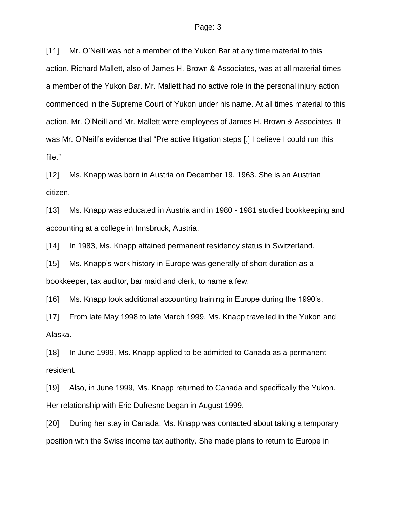[11] Mr. O'Neill was not a member of the Yukon Bar at any time material to this action. Richard Mallett, also of James H. Brown & Associates, was at all material times a member of the Yukon Bar. Mr. Mallett had no active role in the personal injury action commenced in the Supreme Court of Yukon under his name. At all times material to this action, Mr. O'Neill and Mr. Mallett were employees of James H. Brown & Associates. It was Mr. O'Neill's evidence that "Pre active litigation steps [,] I believe I could run this file."

[12] Ms. Knapp was born in Austria on December 19, 1963. She is an Austrian citizen.

[13] Ms. Knapp was educated in Austria and in 1980 - 1981 studied bookkeeping and accounting at a college in Innsbruck, Austria.

[14] In 1983, Ms. Knapp attained permanent residency status in Switzerland.

[15] Ms. Knapp's work history in Europe was generally of short duration as a bookkeeper, tax auditor, bar maid and clerk, to name a few.

[16] Ms. Knapp took additional accounting training in Europe during the 1990's.

[17] From late May 1998 to late March 1999, Ms. Knapp travelled in the Yukon and Alaska.

[18] In June 1999, Ms. Knapp applied to be admitted to Canada as a permanent resident.

[19] Also, in June 1999, Ms. Knapp returned to Canada and specifically the Yukon. Her relationship with Eric Dufresne began in August 1999.

[20] During her stay in Canada, Ms. Knapp was contacted about taking a temporary position with the Swiss income tax authority. She made plans to return to Europe in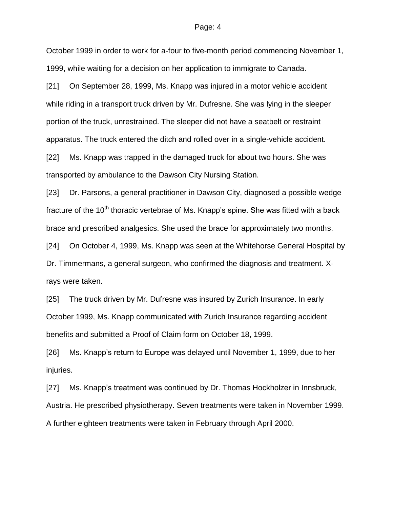#### Page: 4

October 1999 in order to work for a-four to five-month period commencing November 1, 1999, while waiting for a decision on her application to immigrate to Canada.

[21] On September 28, 1999, Ms. Knapp was injured in a motor vehicle accident while riding in a transport truck driven by Mr. Dufresne. She was lying in the sleeper portion of the truck, unrestrained. The sleeper did not have a seatbelt or restraint apparatus. The truck entered the ditch and rolled over in a single-vehicle accident.

[22] Ms. Knapp was trapped in the damaged truck for about two hours. She was transported by ambulance to the Dawson City Nursing Station.

[23] Dr. Parsons, a general practitioner in Dawson City, diagnosed a possible wedge fracture of the  $10<sup>th</sup>$  thoracic vertebrae of Ms. Knapp's spine. She was fitted with a back brace and prescribed analgesics. She used the brace for approximately two months.

[24] On October 4, 1999, Ms. Knapp was seen at the Whitehorse General Hospital by Dr. Timmermans, a general surgeon, who confirmed the diagnosis and treatment. Xrays were taken.

[25] The truck driven by Mr. Dufresne was insured by Zurich Insurance. In early October 1999, Ms. Knapp communicated with Zurich Insurance regarding accident benefits and submitted a Proof of Claim form on October 18, 1999.

[26] Ms. Knapp's return to Europe was delayed until November 1, 1999, due to her injuries.

[27] Ms. Knapp's treatment was continued by Dr. Thomas Hockholzer in Innsbruck, Austria. He prescribed physiotherapy. Seven treatments were taken in November 1999. A further eighteen treatments were taken in February through April 2000.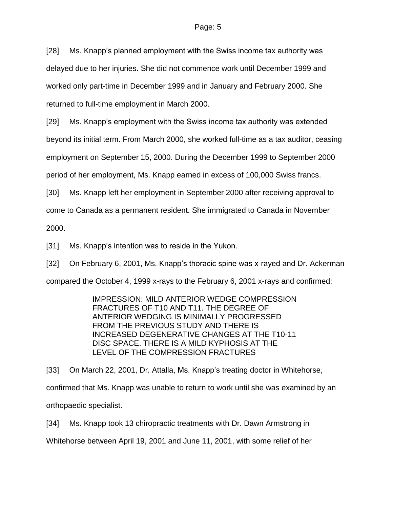[28] Ms. Knapp's planned employment with the Swiss income tax authority was delayed due to her injuries. She did not commence work until December 1999 and worked only part-time in December 1999 and in January and February 2000. She returned to full-time employment in March 2000.

[29] Ms. Knapp's employment with the Swiss income tax authority was extended beyond its initial term. From March 2000, she worked full-time as a tax auditor, ceasing employment on September 15, 2000. During the December 1999 to September 2000 period of her employment, Ms. Knapp earned in excess of 100,000 Swiss francs.

[30] Ms. Knapp left her employment in September 2000 after receiving approval to come to Canada as a permanent resident. She immigrated to Canada in November 2000.

[31] Ms. Knapp's intention was to reside in the Yukon.

[32] On February 6, 2001, Ms. Knapp's thoracic spine was x-rayed and Dr. Ackerman compared the October 4, 1999 x-rays to the February 6, 2001 x-rays and confirmed:

> IMPRESSION: MILD ANTERIOR WEDGE COMPRESSION FRACTURES OF T10 AND T11. THE DEGREE OF ANTERIOR WEDGING IS MINIMALLY PROGRESSED FROM THE PREVIOUS STUDY AND THERE IS INCREASED DEGENERATIVE CHANGES AT THE T10-11 DISC SPACE. THERE IS A MILD KYPHOSIS AT THE LEVEL OF THE COMPRESSION FRACTURES

[33] On March 22, 2001, Dr. Attalla, Ms. Knapp's treating doctor in Whitehorse, confirmed that Ms. Knapp was unable to return to work until she was examined by an orthopaedic specialist.

[34] Ms. Knapp took 13 chiropractic treatments with Dr. Dawn Armstrong in Whitehorse between April 19, 2001 and June 11, 2001, with some relief of her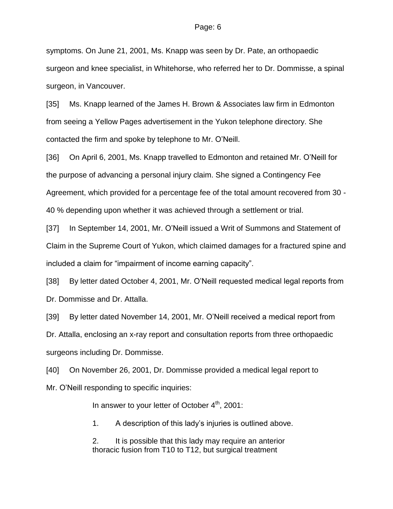symptoms. On June 21, 2001, Ms. Knapp was seen by Dr. Pate, an orthopaedic surgeon and knee specialist, in Whitehorse, who referred her to Dr. Dommisse, a spinal surgeon, in Vancouver.

[35] Ms. Knapp learned of the James H. Brown & Associates law firm in Edmonton from seeing a Yellow Pages advertisement in the Yukon telephone directory. She contacted the firm and spoke by telephone to Mr. O'Neill.

[36] On April 6, 2001, Ms. Knapp travelled to Edmonton and retained Mr. O'Neill for the purpose of advancing a personal injury claim. She signed a Contingency Fee Agreement, which provided for a percentage fee of the total amount recovered from 30 - 40 % depending upon whether it was achieved through a settlement or trial.

[37] In September 14, 2001, Mr. O'Neill issued a Writ of Summons and Statement of Claim in the Supreme Court of Yukon, which claimed damages for a fractured spine and included a claim for "impairment of income earning capacity".

[38] By letter dated October 4, 2001, Mr. O'Neill requested medical legal reports from Dr. Dommisse and Dr. Attalla.

[39] By letter dated November 14, 2001, Mr. O'Neill received a medical report from Dr. Attalla, enclosing an x-ray report and consultation reports from three orthopaedic surgeons including Dr. Dommisse.

[40] On November 26, 2001, Dr. Dommisse provided a medical legal report to Mr. O'Neill responding to specific inquiries:

In answer to your letter of October  $4<sup>th</sup>$ , 2001:

1. A description of this lady's injuries is outlined above.

2. It is possible that this lady may require an anterior thoracic fusion from T10 to T12, but surgical treatment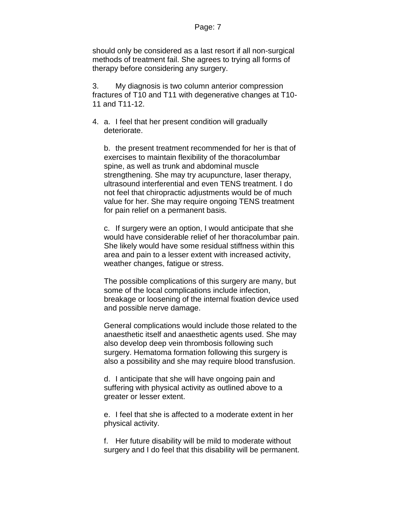should only be considered as a last resort if all non-surgical methods of treatment fail. She agrees to trying all forms of therapy before considering any surgery.

3. My diagnosis is two column anterior compression fractures of T10 and T11 with degenerative changes at T10- 11 and T11-12.

4. a. I feel that her present condition will gradually deteriorate.

b. the present treatment recommended for her is that of exercises to maintain flexibility of the thoracolumbar spine, as well as trunk and abdominal muscle strengthening. She may try acupuncture, laser therapy, ultrasound interferential and even TENS treatment. I do not feel that chiropractic adjustments would be of much value for her. She may require ongoing TENS treatment for pain relief on a permanent basis.

c. If surgery were an option, I would anticipate that she would have considerable relief of her thoracolumbar pain. She likely would have some residual stiffness within this area and pain to a lesser extent with increased activity, weather changes, fatigue or stress.

The possible complications of this surgery are many, but some of the local complications include infection, breakage or loosening of the internal fixation device used and possible nerve damage.

General complications would include those related to the anaesthetic itself and anaesthetic agents used. She may also develop deep vein thrombosis following such surgery. Hematoma formation following this surgery is also a possibility and she may require blood transfusion.

d. I anticipate that she will have ongoing pain and suffering with physical activity as outlined above to a greater or lesser extent.

e. I feel that she is affected to a moderate extent in her physical activity.

f. Her future disability will be mild to moderate without surgery and I do feel that this disability will be permanent.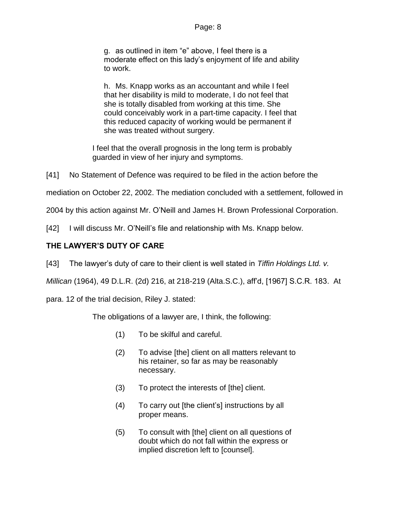### Page: 8

g. as outlined in item "e" above, I feel there is a moderate effect on this lady's enjoyment of life and ability to work.

h. Ms. Knapp works as an accountant and while I feel that her disability is mild to moderate, I do not feel that she is totally disabled from working at this time. She could conceivably work in a part-time capacity. I feel that this reduced capacity of working would be permanent if she was treated without surgery.

I feel that the overall prognosis in the long term is probably guarded in view of her injury and symptoms.

[41] No Statement of Defence was required to be filed in the action before the

mediation on October 22, 2002. The mediation concluded with a settlement, followed in

2004 by this action against Mr. O'Neill and James H. Brown Professional Corporation.

[42] I will discuss Mr. O'Neill's file and relationship with Ms. Knapp below.

# **THE LAWYER'S DUTY OF CARE**

[43] The lawyer's duty of care to their client is well stated in *Tiffin Holdings Ltd. v.* 

*Millican* (1964), 49 D.L.R. (2d) 216, at 218-219 (Alta.S.C.), aff'd, [1967] S.C.R. 183. At

para. 12 of the trial decision, Riley J. stated:

The obligations of a lawyer are, I think, the following:

- (1) To be skilful and careful.
- (2) To advise [the] client on all matters relevant to his retainer, so far as may be reasonably necessary.
- (3) To protect the interests of [the] client.
- (4) To carry out [the client's] instructions by all proper means.
- (5) To consult with [the] client on all questions of doubt which do not fall within the express or implied discretion left to [counsel].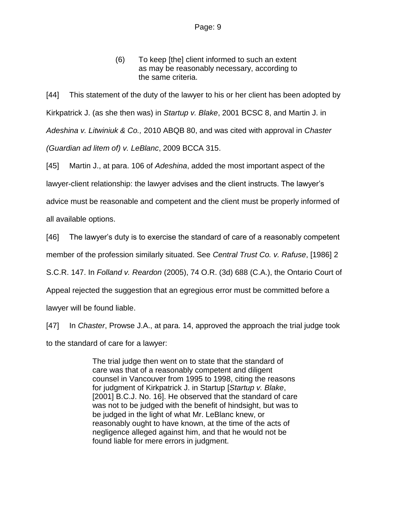(6) To keep [the] client informed to such an extent as may be reasonably necessary, according to the same criteria.

[44] This statement of the duty of the lawyer to his or her client has been adopted by Kirkpatrick J. (as she then was) in *Startup v. Blake*, 2001 BCSC 8, and Martin J. in *Adeshina v. Litwiniuk & Co.,* 2010 ABQB 80, and was cited with approval in *Chaster (Guardian ad litem of) v. LeBlanc*, 2009 BCCA 315.

[45] Martin J., at para. 106 of *Adeshina*, added the most important aspect of the lawyer-client relationship: the lawyer advises and the client instructs. The lawyer's advice must be reasonable and competent and the client must be properly informed of all available options.

[46] The lawyer's duty is to exercise the standard of care of a reasonably competent

member of the profession similarly situated. See *Central Trust Co. v. Rafuse*, [1986] 2

S.C.R. 147. In *Folland v. Reardon* (2005), 74 O.R. (3d) 688 (C.A.), the Ontario Court of

Appeal rejected the suggestion that an egregious error must be committed before a

lawyer will be found liable.

[47] In *Chaster*, Prowse J.A., at para. 14, approved the approach the trial judge took to the standard of care for a lawyer:

> The trial judge then went on to state that the standard of care was that of a reasonably competent and diligent counsel in Vancouver from 1995 to 1998, citing the reasons for judgment of Kirkpatrick J. in Startup [*Startup v. Blake*, [2001] B.C.J. No. 16]. He observed that the standard of care was not to be judged with the benefit of hindsight, but was to be judged in the light of what Mr. LeBlanc knew, or reasonably ought to have known, at the time of the acts of negligence alleged against him, and that he would not be found liable for mere errors in judgment.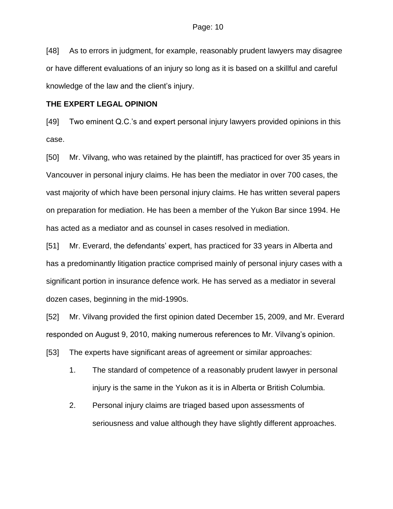[48] As to errors in judgment, for example, reasonably prudent lawyers may disagree or have different evaluations of an injury so long as it is based on a skillful and careful knowledge of the law and the client's injury.

### **THE EXPERT LEGAL OPINION**

[49] Two eminent Q.C.'s and expert personal injury lawyers provided opinions in this case.

[50] Mr. Vilvang, who was retained by the plaintiff, has practiced for over 35 years in Vancouver in personal injury claims. He has been the mediator in over 700 cases, the vast majority of which have been personal injury claims. He has written several papers on preparation for mediation. He has been a member of the Yukon Bar since 1994. He has acted as a mediator and as counsel in cases resolved in mediation.

[51] Mr. Everard, the defendants' expert, has practiced for 33 years in Alberta and has a predominantly litigation practice comprised mainly of personal injury cases with a significant portion in insurance defence work. He has served as a mediator in several dozen cases, beginning in the mid-1990s.

[52] Mr. Vilvang provided the first opinion dated December 15, 2009, and Mr. Everard responded on August 9, 2010, making numerous references to Mr. Vilvang's opinion.

[53] The experts have significant areas of agreement or similar approaches:

- 1. The standard of competence of a reasonably prudent lawyer in personal injury is the same in the Yukon as it is in Alberta or British Columbia.
- 2. Personal injury claims are triaged based upon assessments of seriousness and value although they have slightly different approaches.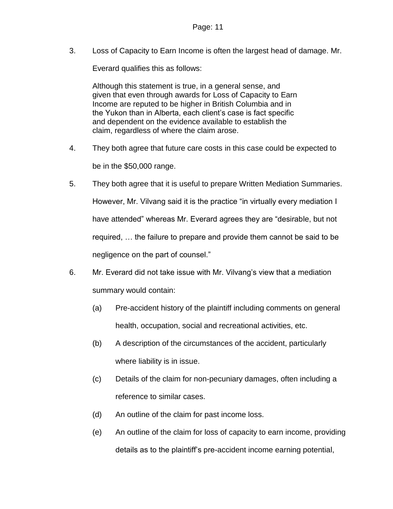3. Loss of Capacity to Earn Income is often the largest head of damage. Mr.

Everard qualifies this as follows:

Although this statement is true, in a general sense, and given that even through awards for Loss of Capacity to Earn Income are reputed to be higher in British Columbia and in the Yukon than in Alberta, each client's case is fact specific and dependent on the evidence available to establish the claim, regardless of where the claim arose.

- 4. They both agree that future care costs in this case could be expected to be in the \$50,000 range.
- 5. They both agree that it is useful to prepare Written Mediation Summaries. However, Mr. Vilvang said it is the practice "in virtually every mediation I have attended" whereas Mr. Everard agrees they are "desirable, but not required, … the failure to prepare and provide them cannot be said to be negligence on the part of counsel."
- 6. Mr. Everard did not take issue with Mr. Vilvang's view that a mediation summary would contain:
	- (a) Pre-accident history of the plaintiff including comments on general health, occupation, social and recreational activities, etc.
	- (b) A description of the circumstances of the accident, particularly where liability is in issue.
	- (c) Details of the claim for non-pecuniary damages, often including a reference to similar cases.
	- (d) An outline of the claim for past income loss.
	- (e) An outline of the claim for loss of capacity to earn income, providing details as to the plaintiff's pre-accident income earning potential,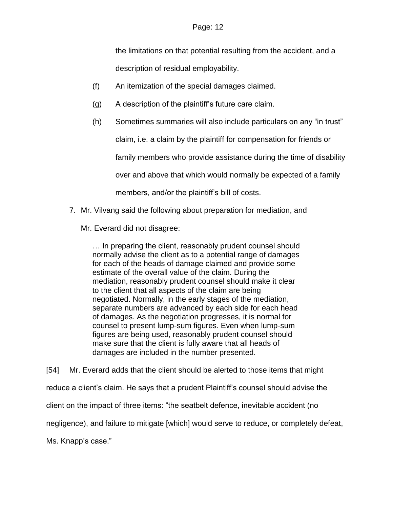the limitations on that potential resulting from the accident, and a

description of residual employability.

- (f) An itemization of the special damages claimed.
- (g) A description of the plaintiff's future care claim.
- (h) Sometimes summaries will also include particulars on any "in trust"

claim, i.e. a claim by the plaintiff for compensation for friends or

family members who provide assistance during the time of disability

over and above that which would normally be expected of a family

members, and/or the plaintiff's bill of costs.

7. Mr. Vilvang said the following about preparation for mediation, and

Mr. Everard did not disagree:

… In preparing the client, reasonably prudent counsel should normally advise the client as to a potential range of damages for each of the heads of damage claimed and provide some estimate of the overall value of the claim. During the mediation, reasonably prudent counsel should make it clear to the client that all aspects of the claim are being negotiated. Normally, in the early stages of the mediation, separate numbers are advanced by each side for each head of damages. As the negotiation progresses, it is normal for counsel to present lump-sum figures. Even when lump-sum figures are being used, reasonably prudent counsel should make sure that the client is fully aware that all heads of damages are included in the number presented.

[54] Mr. Everard adds that the client should be alerted to those items that might reduce a client's claim. He says that a prudent Plaintiff's counsel should advise the client on the impact of three items: "the seatbelt defence, inevitable accident (no negligence), and failure to mitigate [which] would serve to reduce, or completely defeat, Ms. Knapp's case."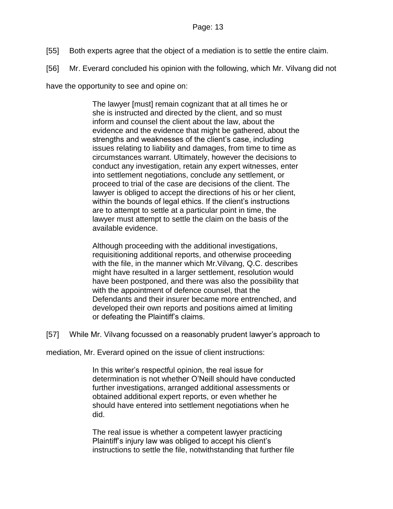- [55] Both experts agree that the object of a mediation is to settle the entire claim.
- [56] Mr. Everard concluded his opinion with the following, which Mr. Vilvang did not

have the opportunity to see and opine on:

The lawyer [must] remain cognizant that at all times he or she is instructed and directed by the client, and so must inform and counsel the client about the law, about the evidence and the evidence that might be gathered, about the strengths and weaknesses of the client's case, including issues relating to liability and damages, from time to time as circumstances warrant. Ultimately, however the decisions to conduct any investigation, retain any expert witnesses, enter into settlement negotiations, conclude any settlement, or proceed to trial of the case are decisions of the client. The lawyer is obliged to accept the directions of his or her client, within the bounds of legal ethics. If the client's instructions are to attempt to settle at a particular point in time, the lawyer must attempt to settle the claim on the basis of the available evidence.

Although proceeding with the additional investigations, requisitioning additional reports, and otherwise proceeding with the file, in the manner which Mr.Vilvang, Q.C. describes might have resulted in a larger settlement, resolution would have been postponed, and there was also the possibility that with the appointment of defence counsel, that the Defendants and their insurer became more entrenched, and developed their own reports and positions aimed at limiting or defeating the Plaintiff's claims.

[57] While Mr. Vilvang focussed on a reasonably prudent lawyer's approach to

mediation, Mr. Everard opined on the issue of client instructions:

In this writer's respectful opinion, the real issue for determination is not whether O'Neill should have conducted further investigations, arranged additional assessments or obtained additional expert reports, or even whether he should have entered into settlement negotiations when he did.

The real issue is whether a competent lawyer practicing Plaintiff's injury law was obliged to accept his client's instructions to settle the file, notwithstanding that further file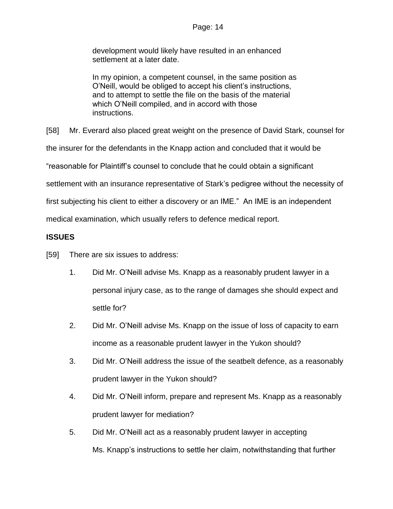### Page: 14

development would likely have resulted in an enhanced settlement at a later date.

In my opinion, a competent counsel, in the same position as O'Neill, would be obliged to accept his client's instructions, and to attempt to settle the file on the basis of the material which O'Neill compiled, and in accord with those instructions.

[58] Mr. Everard also placed great weight on the presence of David Stark, counsel for

the insurer for the defendants in the Knapp action and concluded that it would be

"reasonable for Plaintiff's counsel to conclude that he could obtain a significant

settlement with an insurance representative of Stark's pedigree without the necessity of

first subjecting his client to either a discovery or an IME." An IME is an independent

medical examination, which usually refers to defence medical report.

# **ISSUES**

- [59] There are six issues to address:
	- 1. Did Mr. O'Neill advise Ms. Knapp as a reasonably prudent lawyer in a personal injury case, as to the range of damages she should expect and settle for?
	- 2. Did Mr. O'Neill advise Ms. Knapp on the issue of loss of capacity to earn income as a reasonable prudent lawyer in the Yukon should?
	- 3. Did Mr. O'Neill address the issue of the seatbelt defence, as a reasonably prudent lawyer in the Yukon should?
	- 4. Did Mr. O'Neill inform, prepare and represent Ms. Knapp as a reasonably prudent lawyer for mediation?
	- 5. Did Mr. O'Neill act as a reasonably prudent lawyer in accepting Ms. Knapp's instructions to settle her claim, notwithstanding that further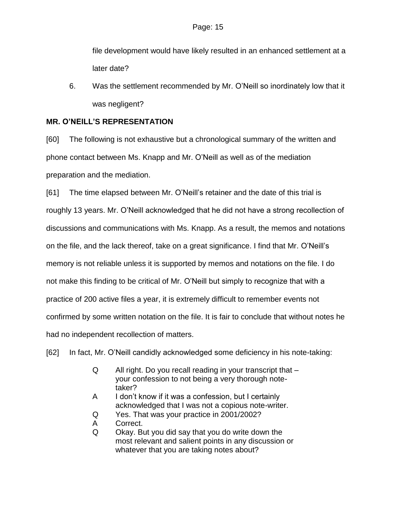file development would have likely resulted in an enhanced settlement at a later date?

6. Was the settlement recommended by Mr. O'Neill so inordinately low that it was negligent?

# **MR. O'NEILL'S REPRESENTATION**

[60] The following is not exhaustive but a chronological summary of the written and phone contact between Ms. Knapp and Mr. O'Neill as well as of the mediation preparation and the mediation.

[61] The time elapsed between Mr. O'Neill's retainer and the date of this trial is roughly 13 years. Mr. O'Neill acknowledged that he did not have a strong recollection of discussions and communications with Ms. Knapp. As a result, the memos and notations on the file, and the lack thereof, take on a great significance. I find that Mr. O'Neill's memory is not reliable unless it is supported by memos and notations on the file. I do not make this finding to be critical of Mr. O'Neill but simply to recognize that with a practice of 200 active files a year, it is extremely difficult to remember events not confirmed by some written notation on the file. It is fair to conclude that without notes he had no independent recollection of matters.

[62] In fact, Mr. O'Neill candidly acknowledged some deficiency in his note-taking:

- Q All right. Do you recall reading in your transcript that your confession to not being a very thorough notetaker?
- A I don't know if it was a confession, but I certainly acknowledged that I was not a copious note-writer.
- Q Yes. That was your practice in 2001/2002?
- A Correct.
- Q Okay. But you did say that you do write down the most relevant and salient points in any discussion or whatever that you are taking notes about?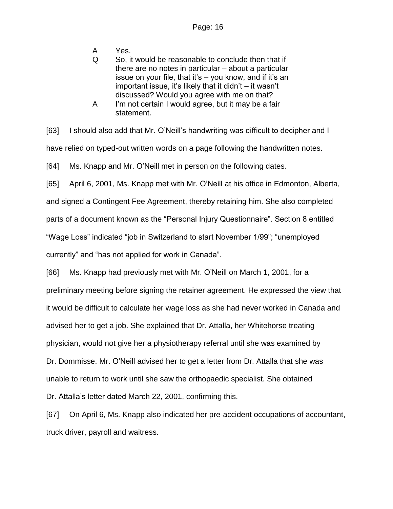- A Yes.
- Q So, it would be reasonable to conclude then that if there are no notes in particular – about a particular issue on your file, that it's – you know, and if it's an important issue, it's likely that it didn't – it wasn't discussed? Would you agree with me on that?
- A I'm not certain I would agree, but it may be a fair statement.

[63] I should also add that Mr. O'Neill's handwriting was difficult to decipher and I have relied on typed-out written words on a page following the handwritten notes.

[64] Ms. Knapp and Mr. O'Neill met in person on the following dates.

[65] April 6, 2001, Ms. Knapp met with Mr. O'Neill at his office in Edmonton, Alberta,

and signed a Contingent Fee Agreement, thereby retaining him. She also completed

parts of a document known as the "Personal Injury Questionnaire". Section 8 entitled

"Wage Loss" indicated "job in Switzerland to start November 1/99"; "unemployed

currently" and "has not applied for work in Canada".

[66] Ms. Knapp had previously met with Mr. O'Neill on March 1, 2001, for a preliminary meeting before signing the retainer agreement. He expressed the view that it would be difficult to calculate her wage loss as she had never worked in Canada and advised her to get a job. She explained that Dr. Attalla, her Whitehorse treating physician, would not give her a physiotherapy referral until she was examined by Dr. Dommisse. Mr. O'Neill advised her to get a letter from Dr. Attalla that she was unable to return to work until she saw the orthopaedic specialist. She obtained Dr. Attalla's letter dated March 22, 2001, confirming this.

[67] On April 6, Ms. Knapp also indicated her pre-accident occupations of accountant, truck driver, payroll and waitress.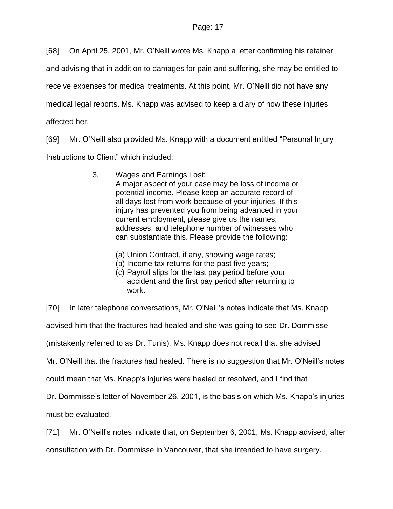[68] On April 25, 2001, Mr. O'Neill wrote Ms. Knapp a letter confirming his retainer

and advising that in addition to damages for pain and suffering, she may be entitled to

receive expenses for medical treatments. At this point, Mr. O'Neill did not have any

medical legal reports. Ms. Knapp was advised to keep a diary of how these injuries

affected her.

[69] Mr. O'Neill also provided Ms. Knapp with a document entitled "Personal Injury Instructions to Client" which included:

- 3. Wages and Earnings Lost: A major aspect of your case may be loss of income or potential income. Please keep an accurate record of all days lost from work because of your injuries. If this injury has prevented you from being advanced in your current employment, please give us the names, addresses, and telephone number of witnesses who can substantiate this. Please provide the following:
	- (a) Union Contract, if any, showing wage rates;
	- (b) Income tax returns for the past five years;
	- (c) Payroll slips for the last pay period before your accident and the first pay period after returning to work.

[70] In later telephone conversations, Mr. O'Neill's notes indicate that Ms. Knapp advised him that the fractures had healed and she was going to see Dr. Dommisse (mistakenly referred to as Dr. Tunis). Ms. Knapp does not recall that she advised Mr. O'Neill that the fractures had healed. There is no suggestion that Mr. O'Neill's notes could mean that Ms. Knapp's injuries were healed or resolved, and I find that Dr. Dommisse's letter of November 26, 2001, is the basis on which Ms. Knapp's injuries must be evaluated.

[71] Mr. O'Neill's notes indicate that, on September 6, 2001, Ms. Knapp advised, after

consultation with Dr. Dommisse in Vancouver, that she intended to have surgery.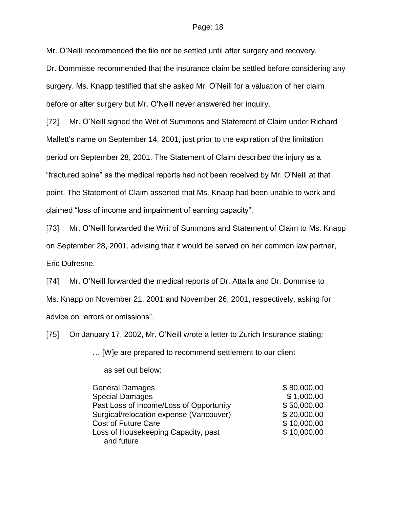Mr. O'Neill recommended the file not be settled until after surgery and recovery.

Dr. Dommisse recommended that the insurance claim be settled before considering any surgery. Ms. Knapp testified that she asked Mr. O'Neill for a valuation of her claim before or after surgery but Mr. O'Neill never answered her inquiry.

[72] Mr. O'Neill signed the Writ of Summons and Statement of Claim under Richard Mallett's name on September 14, 2001, just prior to the expiration of the limitation period on September 28, 2001. The Statement of Claim described the injury as a "fractured spine" as the medical reports had not been received by Mr. O'Neill at that point. The Statement of Claim asserted that Ms. Knapp had been unable to work and claimed "loss of income and impairment of earning capacity".

[73] Mr. O'Neill forwarded the Writ of Summons and Statement of Claim to Ms. Knapp on September 28, 2001, advising that it would be served on her common law partner, Eric Dufresne.

[74] Mr. O'Neill forwarded the medical reports of Dr. Attalla and Dr. Dommise to Ms. Knapp on November 21, 2001 and November 26, 2001, respectively, asking for advice on "errors or omissions".

[75] On January 17, 2002, Mr. O'Neill wrote a letter to Zurich Insurance stating:

… [W]e are prepared to recommend settlement to our client

as set out below:

| <b>General Damages</b>                  | \$80,000.00 |
|-----------------------------------------|-------------|
| <b>Special Damages</b>                  | \$1,000.00  |
| Past Loss of Income/Loss of Opportunity | \$50,000.00 |
| Surgical/relocation expense (Vancouver) | \$20,000.00 |
| <b>Cost of Future Care</b>              | \$10,000.00 |
| Loss of Housekeeping Capacity, past     | \$10,000.00 |
| and future                              |             |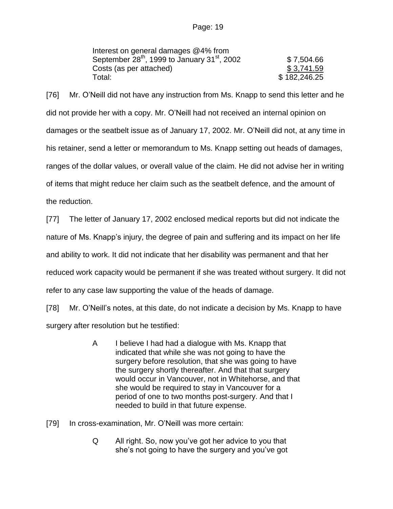| Interest on general damages @4% from                                 |              |
|----------------------------------------------------------------------|--------------|
| September 28 <sup>th</sup> , 1999 to January 31 <sup>st</sup> , 2002 | \$7,504.66   |
| Costs (as per attached)                                              | \$3,741.59   |
| Total:                                                               | \$182,246.25 |

[76] Mr. O'Neill did not have any instruction from Ms. Knapp to send this letter and he did not provide her with a copy. Mr. O'Neill had not received an internal opinion on damages or the seatbelt issue as of January 17, 2002. Mr. O'Neill did not, at any time in his retainer, send a letter or memorandum to Ms. Knapp setting out heads of damages, ranges of the dollar values, or overall value of the claim. He did not advise her in writing of items that might reduce her claim such as the seatbelt defence, and the amount of the reduction.

[77] The letter of January 17, 2002 enclosed medical reports but did not indicate the nature of Ms. Knapp's injury, the degree of pain and suffering and its impact on her life and ability to work. It did not indicate that her disability was permanent and that her reduced work capacity would be permanent if she was treated without surgery. It did not refer to any case law supporting the value of the heads of damage.

[78] Mr. O'Neill's notes, at this date, do not indicate a decision by Ms. Knapp to have surgery after resolution but he testified:

> A I believe I had had a dialogue with Ms. Knapp that indicated that while she was not going to have the surgery before resolution, that she was going to have the surgery shortly thereafter. And that that surgery would occur in Vancouver, not in Whitehorse, and that she would be required to stay in Vancouver for a period of one to two months post-surgery. And that I needed to build in that future expense.

[79] In cross-examination, Mr. O'Neill was more certain:

Q All right. So, now you've got her advice to you that she's not going to have the surgery and you've got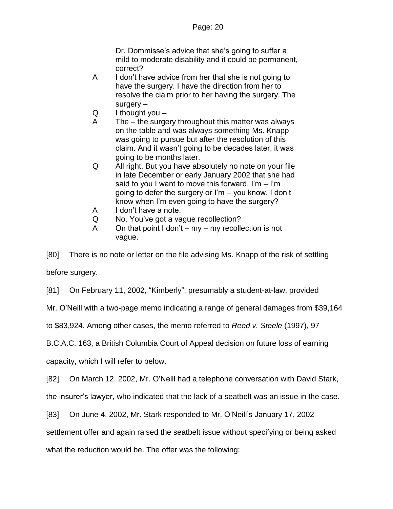Dr. Dommisse's advice that she's going to suffer a mild to moderate disability and it could be permanent, correct?

- A I don't have advice from her that she is not going to have the surgery. I have the direction from her to resolve the claim prior to her having the surgery. The surgery –
- $Q$  I thought you  $-$
- A The the surgery throughout this matter was always on the table and was always something Ms. Knapp was going to pursue but after the resolution of this claim. And it wasn't going to be decades later, it was going to be months later.
- Q All right. But you have absolutely no note on your file in late December or early January 2002 that she had said to you I want to move this forward, I'm  $-$  I'm going to defer the surgery or I'm – you know, I don't know when I'm even going to have the surgery?
- A I don't have a note.
- Q No. You've got a vague recollection?
- A On that point  $I$  don't my my recollection is not vague.

[80] There is no note or letter on the file advising Ms. Knapp of the risk of settling before surgery.

[81] On February 11, 2002, "Kimberly", presumably a student-at-law, provided

Mr. O'Neill with a two-page memo indicating a range of general damages from \$39,164

to \$83,924. Among other cases, the memo referred to *Reed v. Steele* (1997), 97

B.C.A.C. 163, a British Columbia Court of Appeal decision on future loss of earning

capacity, which I will refer to below.

[82] On March 12, 2002, Mr. O'Neill had a telephone conversation with David Stark,

the insurer's lawyer, who indicated that the lack of a seatbelt was an issue in the case.

[83] On June 4, 2002, Mr. Stark responded to Mr. O'Neill's January 17, 2002

settlement offer and again raised the seatbelt issue without specifying or being asked

what the reduction would be. The offer was the following: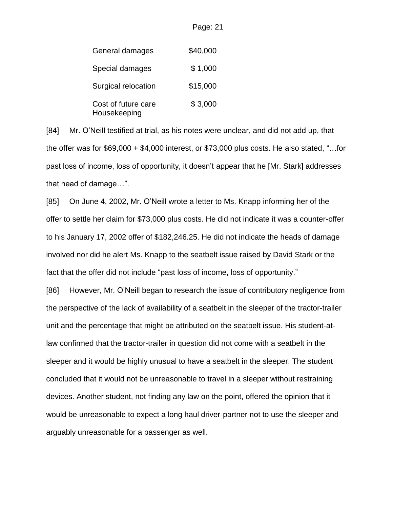| General damages                     | \$40,000 |
|-------------------------------------|----------|
| Special damages                     | \$1,000  |
| Surgical relocation                 | \$15,000 |
| Cost of future care<br>Housekeeping | \$3,000  |

[84] Mr. O'Neill testified at trial, as his notes were unclear, and did not add up, that the offer was for \$69,000 + \$4,000 interest, or \$73,000 plus costs. He also stated, "…for past loss of income, loss of opportunity, it doesn't appear that he [Mr. Stark] addresses that head of damage…".

Page: 21

[85] On June 4, 2002, Mr. O'Neill wrote a letter to Ms. Knapp informing her of the offer to settle her claim for \$73,000 plus costs. He did not indicate it was a counter-offer to his January 17, 2002 offer of \$182,246.25. He did not indicate the heads of damage involved nor did he alert Ms. Knapp to the seatbelt issue raised by David Stark or the fact that the offer did not include "past loss of income, loss of opportunity."

[86] However, Mr. O'Neill began to research the issue of contributory negligence from the perspective of the lack of availability of a seatbelt in the sleeper of the tractor-trailer unit and the percentage that might be attributed on the seatbelt issue. His student-atlaw confirmed that the tractor-trailer in question did not come with a seatbelt in the sleeper and it would be highly unusual to have a seatbelt in the sleeper. The student concluded that it would not be unreasonable to travel in a sleeper without restraining devices. Another student, not finding any law on the point, offered the opinion that it would be unreasonable to expect a long haul driver-partner not to use the sleeper and arguably unreasonable for a passenger as well.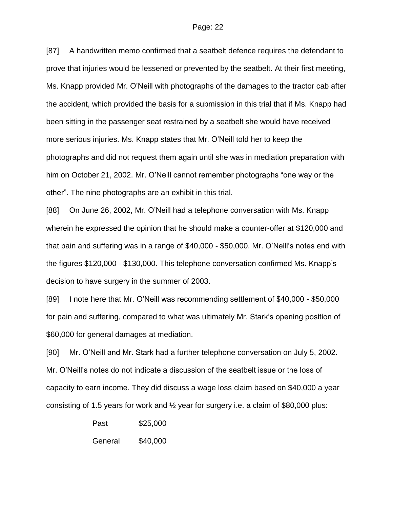[87] A handwritten memo confirmed that a seatbelt defence requires the defendant to prove that injuries would be lessened or prevented by the seatbelt. At their first meeting, Ms. Knapp provided Mr. O'Neill with photographs of the damages to the tractor cab after the accident, which provided the basis for a submission in this trial that if Ms. Knapp had been sitting in the passenger seat restrained by a seatbelt she would have received more serious injuries. Ms. Knapp states that Mr. O'Neill told her to keep the photographs and did not request them again until she was in mediation preparation with him on October 21, 2002. Mr. O'Neill cannot remember photographs "one way or the other". The nine photographs are an exhibit in this trial.

[88] On June 26, 2002, Mr. O'Neill had a telephone conversation with Ms. Knapp wherein he expressed the opinion that he should make a counter-offer at \$120,000 and that pain and suffering was in a range of \$40,000 - \$50,000. Mr. O'Neill's notes end with the figures \$120,000 - \$130,000. This telephone conversation confirmed Ms. Knapp's decision to have surgery in the summer of 2003.

[89] I note here that Mr. O'Neill was recommending settlement of \$40,000 - \$50,000 for pain and suffering, compared to what was ultimately Mr. Stark's opening position of \$60,000 for general damages at mediation.

[90] Mr. O'Neill and Mr. Stark had a further telephone conversation on July 5, 2002. Mr. O'Neill's notes do not indicate a discussion of the seatbelt issue or the loss of capacity to earn income. They did discuss a wage loss claim based on \$40,000 a year consisting of 1.5 years for work and  $\frac{1}{2}$  year for surgery i.e. a claim of \$80,000 plus:

> Past \$25,000 General \$40,000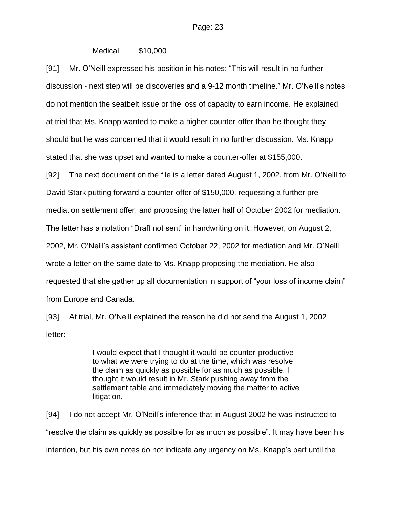### Medical \$10,000

[91] Mr. O'Neill expressed his position in his notes: "This will result in no further discussion - next step will be discoveries and a 9-12 month timeline." Mr. O'Neill's notes do not mention the seatbelt issue or the loss of capacity to earn income. He explained at trial that Ms. Knapp wanted to make a higher counter-offer than he thought they should but he was concerned that it would result in no further discussion. Ms. Knapp stated that she was upset and wanted to make a counter-offer at \$155,000.

[92] The next document on the file is a letter dated August 1, 2002, from Mr. O'Neill to

David Stark putting forward a counter-offer of \$150,000, requesting a further pre-

mediation settlement offer, and proposing the latter half of October 2002 for mediation.

The letter has a notation "Draft not sent" in handwriting on it. However, on August 2,

2002, Mr. O'Neill's assistant confirmed October 22, 2002 for mediation and Mr. O'Neill

wrote a letter on the same date to Ms. Knapp proposing the mediation. He also

requested that she gather up all documentation in support of "your loss of income claim"

from Europe and Canada.

[93] At trial, Mr. O'Neill explained the reason he did not send the August 1, 2002 letter:

> I would expect that I thought it would be counter-productive to what we were trying to do at the time, which was resolve the claim as quickly as possible for as much as possible. I thought it would result in Mr. Stark pushing away from the settlement table and immediately moving the matter to active litigation.

[94] I do not accept Mr. O'Neill's inference that in August 2002 he was instructed to "resolve the claim as quickly as possible for as much as possible". It may have been his intention, but his own notes do not indicate any urgency on Ms. Knapp's part until the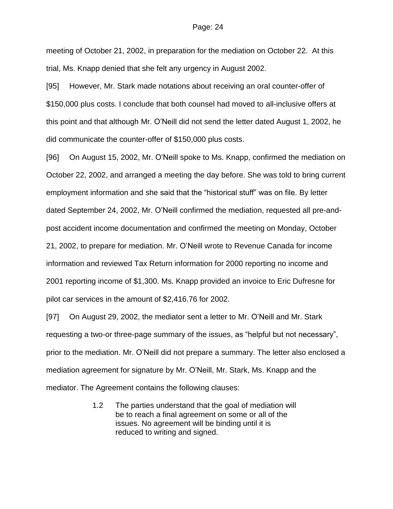meeting of October 21, 2002, in preparation for the mediation on October 22. At this trial, Ms. Knapp denied that she felt any urgency in August 2002.

[95] However, Mr. Stark made notations about receiving an oral counter-offer of \$150,000 plus costs. I conclude that both counsel had moved to all-inclusive offers at this point and that although Mr. O'Neill did not send the letter dated August 1, 2002, he did communicate the counter-offer of \$150,000 plus costs.

[96] On August 15, 2002, Mr. O'Neill spoke to Ms. Knapp, confirmed the mediation on October 22, 2002, and arranged a meeting the day before. She was told to bring current employment information and she said that the "historical stuff" was on file. By letter dated September 24, 2002, Mr. O'Neill confirmed the mediation, requested all pre-andpost accident income documentation and confirmed the meeting on Monday, October 21, 2002, to prepare for mediation. Mr. O'Neill wrote to Revenue Canada for income information and reviewed Tax Return information for 2000 reporting no income and 2001 reporting income of \$1,300. Ms. Knapp provided an invoice to Eric Dufresne for pilot car services in the amount of \$2,416.76 for 2002.

[97] On August 29, 2002, the mediator sent a letter to Mr. O'Neill and Mr. Stark requesting a two-or three-page summary of the issues, as "helpful but not necessary", prior to the mediation. Mr. O'Neill did not prepare a summary. The letter also enclosed a mediation agreement for signature by Mr. O'Neill, Mr. Stark, Ms. Knapp and the mediator. The Agreement contains the following clauses:

> 1.2 The parties understand that the goal of mediation will be to reach a final agreement on some or all of the issues. No agreement will be binding until it is reduced to writing and signed.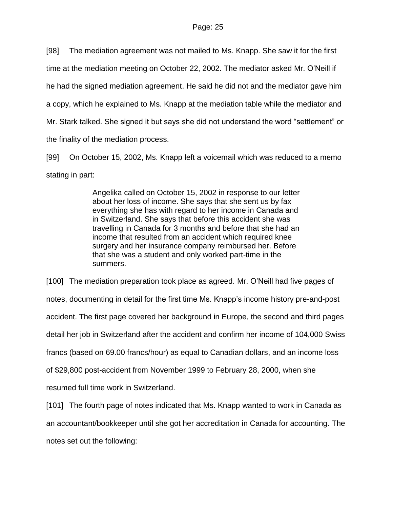[98] The mediation agreement was not mailed to Ms. Knapp. She saw it for the first time at the mediation meeting on October 22, 2002. The mediator asked Mr. O'Neill if he had the signed mediation agreement. He said he did not and the mediator gave him a copy, which he explained to Ms. Knapp at the mediation table while the mediator and Mr. Stark talked. She signed it but says she did not understand the word "settlement" or the finality of the mediation process.

[99] On October 15, 2002, Ms. Knapp left a voicemail which was reduced to a memo stating in part:

> Angelika called on October 15, 2002 in response to our letter about her loss of income. She says that she sent us by fax everything she has with regard to her income in Canada and in Switzerland. She says that before this accident she was travelling in Canada for 3 months and before that she had an income that resulted from an accident which required knee surgery and her insurance company reimbursed her. Before that she was a student and only worked part-time in the summers.

[100] The mediation preparation took place as agreed. Mr. O'Neill had five pages of notes, documenting in detail for the first time Ms. Knapp's income history pre-and-post accident. The first page covered her background in Europe, the second and third pages detail her job in Switzerland after the accident and confirm her income of 104,000 Swiss francs (based on 69.00 francs/hour) as equal to Canadian dollars, and an income loss of \$29,800 post-accident from November 1999 to February 28, 2000, when she resumed full time work in Switzerland.

[101] The fourth page of notes indicated that Ms. Knapp wanted to work in Canada as an accountant/bookkeeper until she got her accreditation in Canada for accounting. The notes set out the following: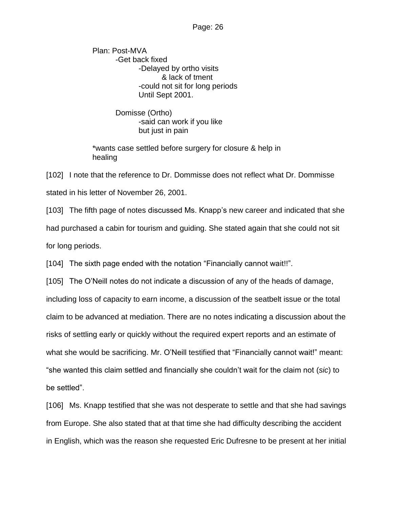Plan: Post-MVA -Get back fixed -Delayed by ortho visits & lack of tment -could not sit for long periods Until Sept 2001.

> Domisse (Ortho) -said can work if you like but just in pain

\*wants case settled before surgery for closure & help in healing

[102] I note that the reference to Dr. Dommisse does not reflect what Dr. Dommisse stated in his letter of November 26, 2001.

[103] The fifth page of notes discussed Ms. Knapp's new career and indicated that she had purchased a cabin for tourism and guiding. She stated again that she could not sit for long periods.

[104] The sixth page ended with the notation "Financially cannot wait!!".

[105] The O'Neill notes do not indicate a discussion of any of the heads of damage, including loss of capacity to earn income, a discussion of the seatbelt issue or the total claim to be advanced at mediation. There are no notes indicating a discussion about the risks of settling early or quickly without the required expert reports and an estimate of what she would be sacrificing. Mr. O'Neill testified that "Financially cannot wait!" meant: "she wanted this claim settled and financially she couldn't wait for the claim not (*sic*) to be settled".

[106] Ms. Knapp testified that she was not desperate to settle and that she had savings from Europe. She also stated that at that time she had difficulty describing the accident in English, which was the reason she requested Eric Dufresne to be present at her initial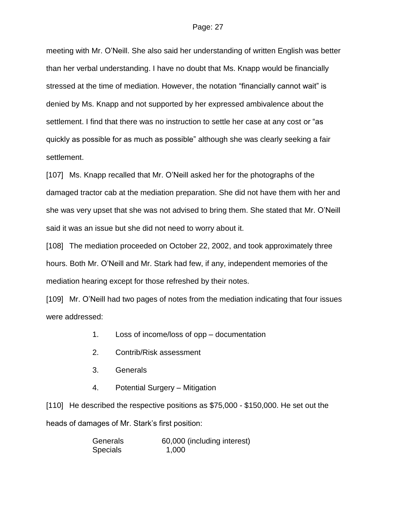meeting with Mr. O'Neill. She also said her understanding of written English was better than her verbal understanding. I have no doubt that Ms. Knapp would be financially stressed at the time of mediation. However, the notation "financially cannot wait" is denied by Ms. Knapp and not supported by her expressed ambivalence about the settlement. I find that there was no instruction to settle her case at any cost or "as quickly as possible for as much as possible" although she was clearly seeking a fair settlement.

[107] Ms. Knapp recalled that Mr. O'Neill asked her for the photographs of the damaged tractor cab at the mediation preparation. She did not have them with her and she was very upset that she was not advised to bring them. She stated that Mr. O'Neill said it was an issue but she did not need to worry about it.

[108] The mediation proceeded on October 22, 2002, and took approximately three hours. Both Mr. O'Neill and Mr. Stark had few, if any, independent memories of the mediation hearing except for those refreshed by their notes.

[109] Mr. O'Neill had two pages of notes from the mediation indicating that four issues were addressed:

- 1. Loss of income/loss of opp documentation
- 2. Contrib/Risk assessment
- 3. Generals
- 4. Potential Surgery Mitigation

[110] He described the respective positions as \$75,000 - \$150,000. He set out the heads of damages of Mr. Stark's first position:

| Generals        | 60,000 (including interest) |
|-----------------|-----------------------------|
| <b>Specials</b> | 1,000                       |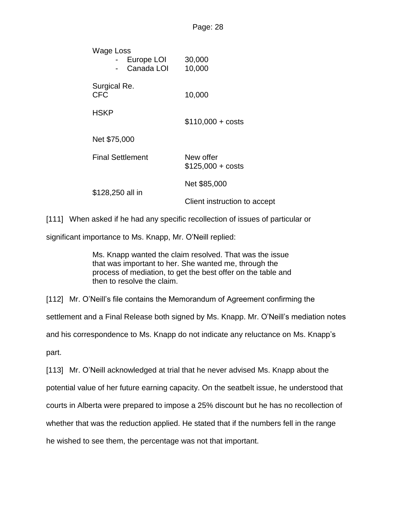| Wage Loss                  |  |                         |                                        |
|----------------------------|--|-------------------------|----------------------------------------|
|                            |  | - Europe LOI            | 30,000                                 |
|                            |  | Canada LOI              | 10,000                                 |
| Surgical Re.<br><b>CFC</b> |  |                         | 10,000                                 |
| <b>HSKP</b>                |  |                         | $$110,000 + costs$                     |
| Net \$75,000               |  |                         |                                        |
|                            |  | <b>Final Settlement</b> | New offer<br>$$125,000 + \text{costs}$ |
| \$128,250 all in           |  |                         | Net \$85,000                           |
|                            |  |                         | Client instruction to accept           |
|                            |  |                         |                                        |

[111] When asked if he had any specific recollection of issues of particular or

significant importance to Ms. Knapp, Mr. O'Neill replied:

Ms. Knapp wanted the claim resolved. That was the issue that was important to her. She wanted me, through the process of mediation, to get the best offer on the table and then to resolve the claim.

[112] Mr. O'Neill's file contains the Memorandum of Agreement confirming the

settlement and a Final Release both signed by Ms. Knapp. Mr. O'Neill's mediation notes

and his correspondence to Ms. Knapp do not indicate any reluctance on Ms. Knapp's

part.

[113] Mr. O'Neill acknowledged at trial that he never advised Ms. Knapp about the potential value of her future earning capacity. On the seatbelt issue, he understood that courts in Alberta were prepared to impose a 25% discount but he has no recollection of whether that was the reduction applied. He stated that if the numbers fell in the range he wished to see them, the percentage was not that important.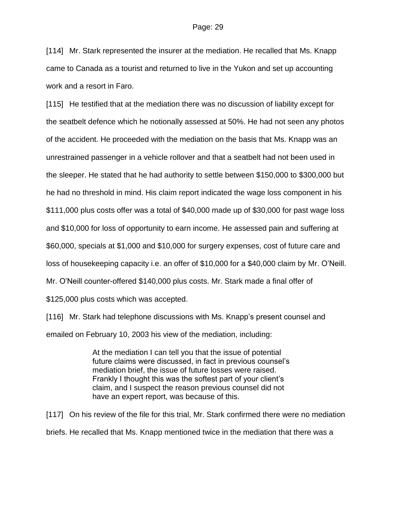[114] Mr. Stark represented the insurer at the mediation. He recalled that Ms. Knapp came to Canada as a tourist and returned to live in the Yukon and set up accounting work and a resort in Faro.

[115] He testified that at the mediation there was no discussion of liability except for the seatbelt defence which he notionally assessed at 50%. He had not seen any photos of the accident. He proceeded with the mediation on the basis that Ms. Knapp was an unrestrained passenger in a vehicle rollover and that a seatbelt had not been used in the sleeper. He stated that he had authority to settle between \$150,000 to \$300,000 but he had no threshold in mind. His claim report indicated the wage loss component in his \$111,000 plus costs offer was a total of \$40,000 made up of \$30,000 for past wage loss and \$10,000 for loss of opportunity to earn income. He assessed pain and suffering at \$60,000, specials at \$1,000 and \$10,000 for surgery expenses, cost of future care and loss of housekeeping capacity i.e. an offer of \$10,000 for a \$40,000 claim by Mr. O'Neill. Mr. O'Neill counter-offered \$140,000 plus costs. Mr. Stark made a final offer of \$125,000 plus costs which was accepted.

[116] Mr. Stark had telephone discussions with Ms. Knapp's present counsel and emailed on February 10, 2003 his view of the mediation, including:

> At the mediation I can tell you that the issue of potential future claims were discussed, in fact in previous counsel's mediation brief, the issue of future losses were raised. Frankly I thought this was the softest part of your client's claim, and I suspect the reason previous counsel did not have an expert report, was because of this.

[117] On his review of the file for this trial, Mr. Stark confirmed there were no mediation briefs. He recalled that Ms. Knapp mentioned twice in the mediation that there was a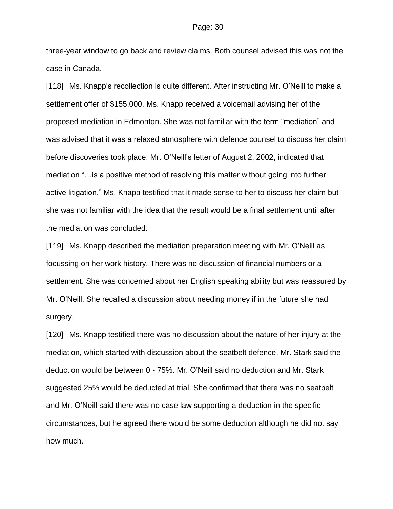three-year window to go back and review claims. Both counsel advised this was not the case in Canada.

[118] Ms. Knapp's recollection is quite different. After instructing Mr. O'Neill to make a settlement offer of \$155,000, Ms. Knapp received a voicemail advising her of the proposed mediation in Edmonton. She was not familiar with the term "mediation" and was advised that it was a relaxed atmosphere with defence counsel to discuss her claim before discoveries took place. Mr. O'Neill's letter of August 2, 2002, indicated that mediation "…is a positive method of resolving this matter without going into further active litigation." Ms. Knapp testified that it made sense to her to discuss her claim but she was not familiar with the idea that the result would be a final settlement until after the mediation was concluded.

[119] Ms. Knapp described the mediation preparation meeting with Mr. O'Neill as focussing on her work history. There was no discussion of financial numbers or a settlement. She was concerned about her English speaking ability but was reassured by Mr. O'Neill. She recalled a discussion about needing money if in the future she had surgery.

[120] Ms. Knapp testified there was no discussion about the nature of her injury at the mediation, which started with discussion about the seatbelt defence. Mr. Stark said the deduction would be between 0 - 75%. Mr. O'Neill said no deduction and Mr. Stark suggested 25% would be deducted at trial. She confirmed that there was no seatbelt and Mr. O'Neill said there was no case law supporting a deduction in the specific circumstances, but he agreed there would be some deduction although he did not say how much.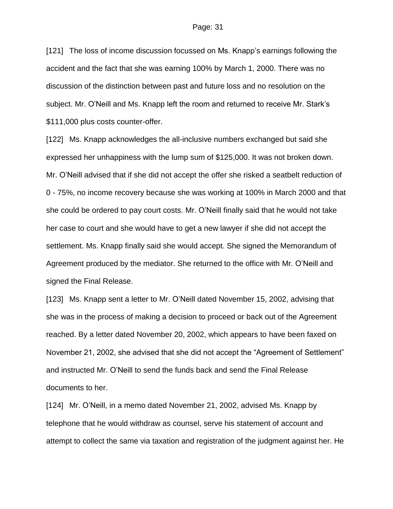[121] The loss of income discussion focussed on Ms. Knapp's earnings following the accident and the fact that she was earning 100% by March 1, 2000. There was no discussion of the distinction between past and future loss and no resolution on the subject. Mr. O'Neill and Ms. Knapp left the room and returned to receive Mr. Stark's \$111,000 plus costs counter-offer.

[122] Ms. Knapp acknowledges the all-inclusive numbers exchanged but said she expressed her unhappiness with the lump sum of \$125,000. It was not broken down. Mr. O'Neill advised that if she did not accept the offer she risked a seatbelt reduction of 0 - 75%, no income recovery because she was working at 100% in March 2000 and that she could be ordered to pay court costs. Mr. O'Neill finally said that he would not take her case to court and she would have to get a new lawyer if she did not accept the settlement. Ms. Knapp finally said she would accept. She signed the Memorandum of Agreement produced by the mediator. She returned to the office with Mr. O'Neill and signed the Final Release.

[123] Ms. Knapp sent a letter to Mr. O'Neill dated November 15, 2002, advising that she was in the process of making a decision to proceed or back out of the Agreement reached. By a letter dated November 20, 2002, which appears to have been faxed on November 21, 2002, she advised that she did not accept the "Agreement of Settlement" and instructed Mr. O'Neill to send the funds back and send the Final Release documents to her.

[124] Mr. O'Neill, in a memo dated November 21, 2002, advised Ms. Knapp by telephone that he would withdraw as counsel, serve his statement of account and attempt to collect the same via taxation and registration of the judgment against her. He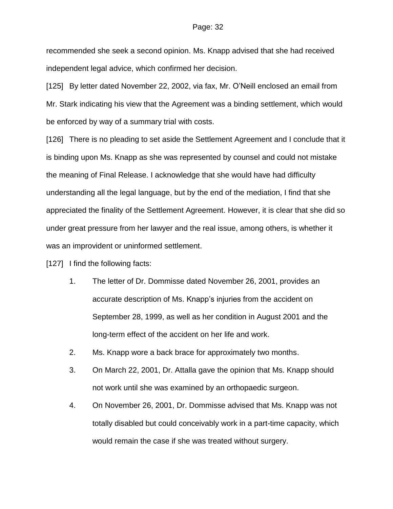recommended she seek a second opinion. Ms. Knapp advised that she had received independent legal advice, which confirmed her decision.

[125] By letter dated November 22, 2002, via fax, Mr. O'Neill enclosed an email from Mr. Stark indicating his view that the Agreement was a binding settlement, which would be enforced by way of a summary trial with costs.

[126] There is no pleading to set aside the Settlement Agreement and I conclude that it is binding upon Ms. Knapp as she was represented by counsel and could not mistake the meaning of Final Release. I acknowledge that she would have had difficulty understanding all the legal language, but by the end of the mediation, I find that she appreciated the finality of the Settlement Agreement. However, it is clear that she did so under great pressure from her lawyer and the real issue, among others, is whether it was an improvident or uninformed settlement.

[127] I find the following facts:

- 1. The letter of Dr. Dommisse dated November 26, 2001, provides an accurate description of Ms. Knapp's injuries from the accident on September 28, 1999, as well as her condition in August 2001 and the long-term effect of the accident on her life and work.
- 2. Ms. Knapp wore a back brace for approximately two months.
- 3. On March 22, 2001, Dr. Attalla gave the opinion that Ms. Knapp should not work until she was examined by an orthopaedic surgeon.
- 4. On November 26, 2001, Dr. Dommisse advised that Ms. Knapp was not totally disabled but could conceivably work in a part-time capacity, which would remain the case if she was treated without surgery.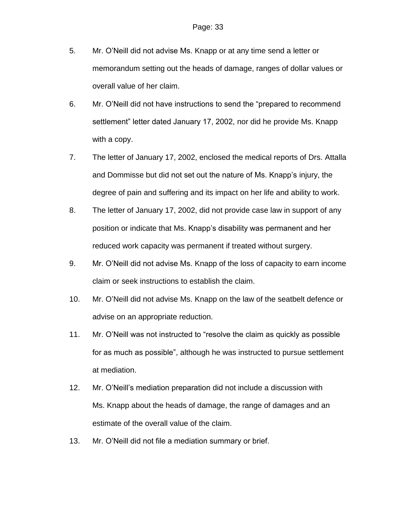- 5. Mr. O'Neill did not advise Ms. Knapp or at any time send a letter or memorandum setting out the heads of damage, ranges of dollar values or overall value of her claim.
- 6. Mr. O'Neill did not have instructions to send the "prepared to recommend settlement" letter dated January 17, 2002, nor did he provide Ms. Knapp with a copy.
- 7. The letter of January 17, 2002, enclosed the medical reports of Drs. Attalla and Dommisse but did not set out the nature of Ms. Knapp's injury, the degree of pain and suffering and its impact on her life and ability to work.
- 8. The letter of January 17, 2002, did not provide case law in support of any position or indicate that Ms. Knapp's disability was permanent and her reduced work capacity was permanent if treated without surgery.
- 9. Mr. O'Neill did not advise Ms. Knapp of the loss of capacity to earn income claim or seek instructions to establish the claim.
- 10. Mr. O'Neill did not advise Ms. Knapp on the law of the seatbelt defence or advise on an appropriate reduction.
- 11. Mr. O'Neill was not instructed to "resolve the claim as quickly as possible for as much as possible", although he was instructed to pursue settlement at mediation.
- 12. Mr. O'Neill's mediation preparation did not include a discussion with Ms. Knapp about the heads of damage, the range of damages and an estimate of the overall value of the claim.
- 13. Mr. O'Neill did not file a mediation summary or brief.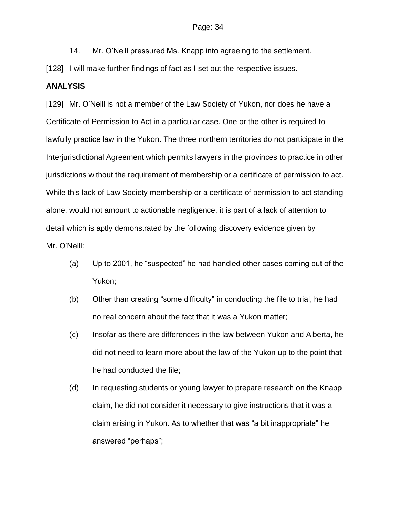14. Mr. O'Neill pressured Ms. Knapp into agreeing to the settlement.

[128] I will make further findings of fact as I set out the respective issues.

### **ANALYSIS**

[129] Mr. O'Neill is not a member of the Law Society of Yukon, nor does he have a Certificate of Permission to Act in a particular case. One or the other is required to lawfully practice law in the Yukon. The three northern territories do not participate in the Interjurisdictional Agreement which permits lawyers in the provinces to practice in other jurisdictions without the requirement of membership or a certificate of permission to act. While this lack of Law Society membership or a certificate of permission to act standing alone, would not amount to actionable negligence, it is part of a lack of attention to detail which is aptly demonstrated by the following discovery evidence given by Mr. O'Neill:

- (a) Up to 2001, he "suspected" he had handled other cases coming out of the Yukon;
- (b) Other than creating "some difficulty" in conducting the file to trial, he had no real concern about the fact that it was a Yukon matter;
- (c) Insofar as there are differences in the law between Yukon and Alberta, he did not need to learn more about the law of the Yukon up to the point that he had conducted the file;
- (d) In requesting students or young lawyer to prepare research on the Knapp claim, he did not consider it necessary to give instructions that it was a claim arising in Yukon. As to whether that was "a bit inappropriate" he answered "perhaps";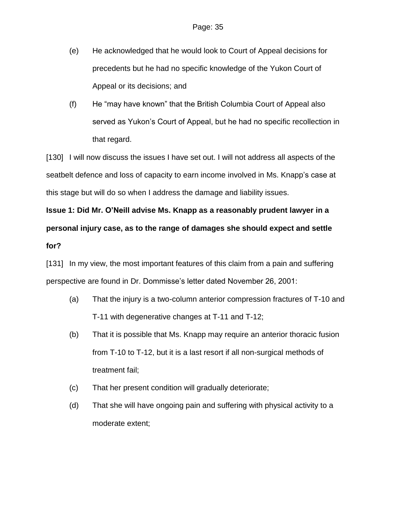- (e) He acknowledged that he would look to Court of Appeal decisions for precedents but he had no specific knowledge of the Yukon Court of Appeal or its decisions; and
- (f) He "may have known" that the British Columbia Court of Appeal also served as Yukon's Court of Appeal, but he had no specific recollection in that regard.

[130] I will now discuss the issues I have set out. I will not address all aspects of the seatbelt defence and loss of capacity to earn income involved in Ms. Knapp's case at this stage but will do so when I address the damage and liability issues.

# **Issue 1: Did Mr. O'Neill advise Ms. Knapp as a reasonably prudent lawyer in a personal injury case, as to the range of damages she should expect and settle for?**

[131] In my view, the most important features of this claim from a pain and suffering perspective are found in Dr. Dommisse's letter dated November 26, 2001:

- (a) That the injury is a two-column anterior compression fractures of T-10 and T-11 with degenerative changes at T-11 and T-12;
- (b) That it is possible that Ms. Knapp may require an anterior thoracic fusion from T-10 to T-12, but it is a last resort if all non-surgical methods of treatment fail;
- (c) That her present condition will gradually deteriorate;
- (d) That she will have ongoing pain and suffering with physical activity to a moderate extent;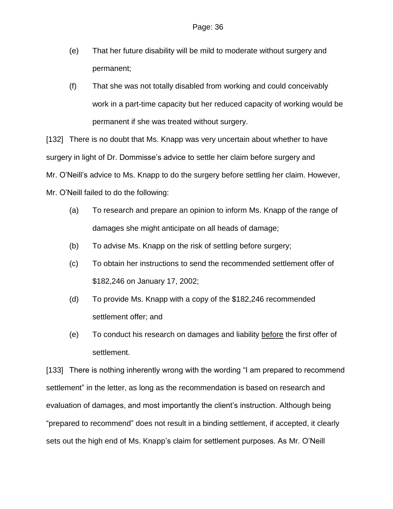- (e) That her future disability will be mild to moderate without surgery and permanent;
- (f) That she was not totally disabled from working and could conceivably work in a part-time capacity but her reduced capacity of working would be permanent if she was treated without surgery.

[132] There is no doubt that Ms. Knapp was very uncertain about whether to have surgery in light of Dr. Dommisse's advice to settle her claim before surgery and Mr. O'Neill's advice to Ms. Knapp to do the surgery before settling her claim. However, Mr. O'Neill failed to do the following:

- (a) To research and prepare an opinion to inform Ms. Knapp of the range of damages she might anticipate on all heads of damage;
- (b) To advise Ms. Knapp on the risk of settling before surgery;
- (c) To obtain her instructions to send the recommended settlement offer of \$182,246 on January 17, 2002;
- (d) To provide Ms. Knapp with a copy of the \$182,246 recommended settlement offer; and
- (e) To conduct his research on damages and liability before the first offer of settlement.

[133] There is nothing inherently wrong with the wording "I am prepared to recommend settlement" in the letter, as long as the recommendation is based on research and evaluation of damages, and most importantly the client's instruction. Although being "prepared to recommend" does not result in a binding settlement, if accepted, it clearly sets out the high end of Ms. Knapp's claim for settlement purposes. As Mr. O'Neill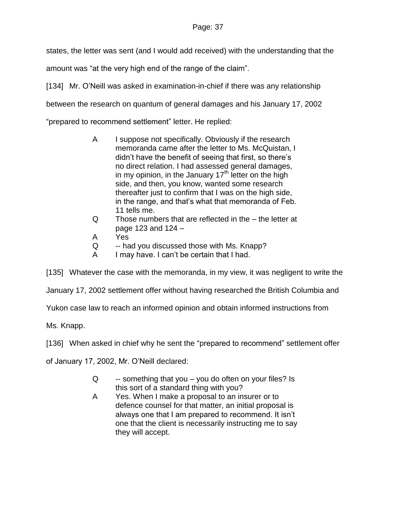states, the letter was sent (and I would add received) with the understanding that the

amount was "at the very high end of the range of the claim".

[134] Mr. O'Neill was asked in examination-in-chief if there was any relationship

between the research on quantum of general damages and his January 17, 2002

"prepared to recommend settlement" letter. He replied:

- A I suppose not specifically. Obviously if the research memoranda came after the letter to Ms. McQuistan, I didn't have the benefit of seeing that first, so there's no direct relation. I had assessed general damages, in my opinion, in the January  $17<sup>th</sup>$  letter on the high side, and then, you know, wanted some research thereafter just to confirm that I was on the high side, in the range, and that's what that memoranda of Feb. 11 tells me.
- Q Those numbers that are reflected in the the letter at page 123 and 124 –
- A Yes
- Q -- had you discussed those with Ms. Knapp?
- A I may have. I can't be certain that I had.

[135] Whatever the case with the memoranda, in my view, it was negligent to write the

January 17, 2002 settlement offer without having researched the British Columbia and

Yukon case law to reach an informed opinion and obtain informed instructions from

Ms. Knapp.

[136] When asked in chief why he sent the "prepared to recommend" settlement offer

of January 17, 2002, Mr. O'Neill declared:

- $Q \rightarrow$  something that you you do often on your files? Is this sort of a standard thing with you?
- A Yes. When I make a proposal to an insurer or to defence counsel for that matter, an initial proposal is always one that I am prepared to recommend. It isn't one that the client is necessarily instructing me to say they will accept.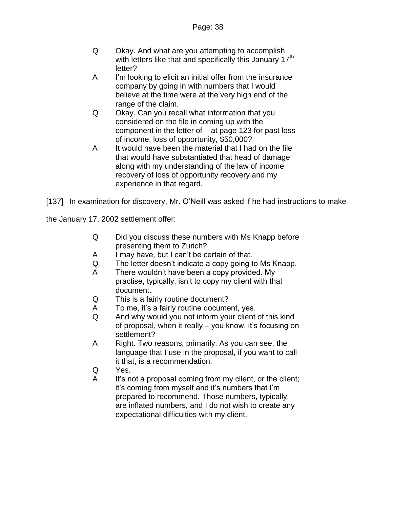- Q Okay. And what are you attempting to accomplish with letters like that and specifically this January  $17<sup>th</sup>$ letter?
- A I'm looking to elicit an initial offer from the insurance company by going in with numbers that I would believe at the time were at the very high end of the range of the claim.
- Q Okay. Can you recall what information that you considered on the file in coming up with the component in the letter of – at page 123 for past loss of income, loss of opportunity, \$50,000?
- A It would have been the material that I had on the file that would have substantiated that head of damage along with my understanding of the law of income recovery of loss of opportunity recovery and my experience in that regard.

[137] In examination for discovery, Mr. O'Neill was asked if he had instructions to make

the January 17, 2002 settlement offer:

- Q Did you discuss these numbers with Ms Knapp before presenting them to Zurich?
- A I may have, but I can't be certain of that.
- Q The letter doesn't indicate a copy going to Ms Knapp.
- A There wouldn't have been a copy provided. My practise, typically, isn't to copy my client with that document.
- Q This is a fairly routine document?
- A To me, it's a fairly routine document, yes.
- Q And why would you not inform your client of this kind of proposal, when it really – you know, it's focusing on settlement?
- A Right. Two reasons, primarily. As you can see, the language that I use in the proposal, if you want to call it that, is a recommendation.
- Q Yes.
- A It's not a proposal coming from my client, or the client; it's coming from myself and it's numbers that I'm prepared to recommend. Those numbers, typically, are inflated numbers, and I do not wish to create any expectational difficulties with my client.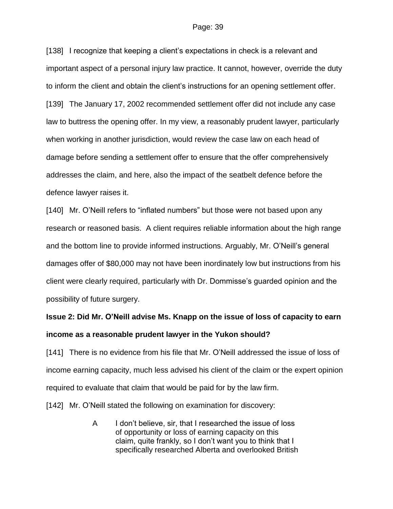[138] I recognize that keeping a client's expectations in check is a relevant and important aspect of a personal injury law practice. It cannot, however, override the duty to inform the client and obtain the client's instructions for an opening settlement offer. [139] The January 17, 2002 recommended settlement offer did not include any case law to buttress the opening offer. In my view, a reasonably prudent lawyer, particularly when working in another jurisdiction, would review the case law on each head of damage before sending a settlement offer to ensure that the offer comprehensively addresses the claim, and here, also the impact of the seatbelt defence before the defence lawyer raises it.

[140] Mr. O'Neill refers to "inflated numbers" but those were not based upon any research or reasoned basis. A client requires reliable information about the high range and the bottom line to provide informed instructions. Arguably, Mr. O'Neill's general damages offer of \$80,000 may not have been inordinately low but instructions from his client were clearly required, particularly with Dr. Dommisse's guarded opinion and the possibility of future surgery.

# **Issue 2: Did Mr. O'Neill advise Ms. Knapp on the issue of loss of capacity to earn income as a reasonable prudent lawyer in the Yukon should?**

[141] There is no evidence from his file that Mr. O'Neill addressed the issue of loss of income earning capacity, much less advised his client of the claim or the expert opinion required to evaluate that claim that would be paid for by the law firm.

[142] Mr. O'Neill stated the following on examination for discovery:

A I don't believe, sir, that I researched the issue of loss of opportunity or loss of earning capacity on this claim, quite frankly, so I don't want you to think that I specifically researched Alberta and overlooked British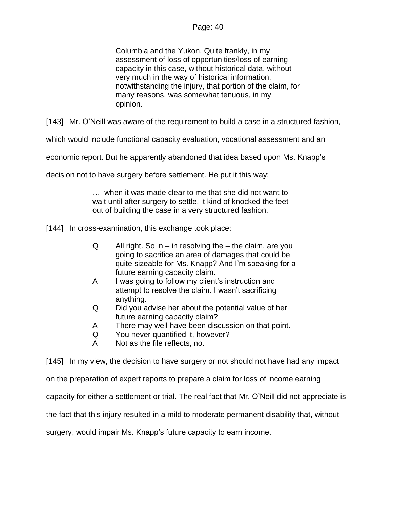Columbia and the Yukon. Quite frankly, in my assessment of loss of opportunities/loss of earning capacity in this case, without historical data, without very much in the way of historical information, notwithstanding the injury, that portion of the claim, for many reasons, was somewhat tenuous, in my opinion.

[143] Mr. O'Neill was aware of the requirement to build a case in a structured fashion,

which would include functional capacity evaluation, vocational assessment and an

economic report. But he apparently abandoned that idea based upon Ms. Knapp's

decision not to have surgery before settlement. He put it this way:

… when it was made clear to me that she did not want to wait until after surgery to settle, it kind of knocked the feet out of building the case in a very structured fashion.

[144] In cross-examination, this exchange took place:

- $Q$  All right. So in in resolving the the claim, are you going to sacrifice an area of damages that could be quite sizeable for Ms. Knapp? And I'm speaking for a future earning capacity claim.
- A I was going to follow my client's instruction and attempt to resolve the claim. I wasn't sacrificing anything.
- Q Did you advise her about the potential value of her future earning capacity claim?
- A There may well have been discussion on that point.
- Q You never quantified it, however?
- A Not as the file reflects, no.

[145] In my view, the decision to have surgery or not should not have had any impact

on the preparation of expert reports to prepare a claim for loss of income earning

capacity for either a settlement or trial. The real fact that Mr. O'Neill did not appreciate is

the fact that this injury resulted in a mild to moderate permanent disability that, without

surgery, would impair Ms. Knapp's future capacity to earn income.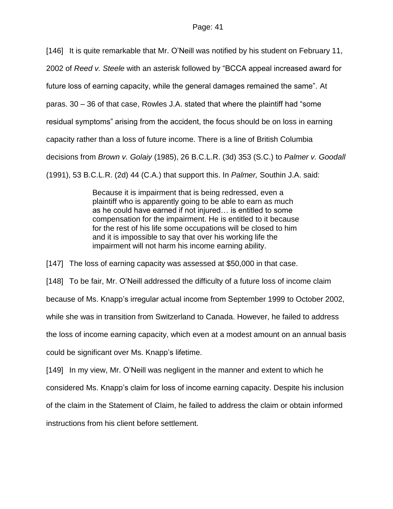[146] It is quite remarkable that Mr. O'Neill was notified by his student on February 11,

2002 of *Reed v. Steele* with an asterisk followed by "BCCA appeal increased award for

future loss of earning capacity, while the general damages remained the same". At

paras. 30 – 36 of that case, Rowles J.A. stated that where the plaintiff had "some

residual symptoms" arising from the accident, the focus should be on loss in earning

capacity rather than a loss of future income. There is a line of British Columbia

decisions from *Brown v. Golaiy* (1985), 26 B.C.L.R. (3d) 353 (S.C.) to *Palmer v. Goodall*

(1991), 53 B.C.L.R. (2d) 44 (C.A.) that support this. In *Palmer,* Southin J.A. said:

Because it is impairment that is being redressed, even a plaintiff who is apparently going to be able to earn as much as he could have earned if not injured… is entitled to some compensation for the impairment. He is entitled to it because for the rest of his life some occupations will be closed to him and it is impossible to say that over his working life the impairment will not harm his income earning ability.

[147] The loss of earning capacity was assessed at \$50,000 in that case.

[148] To be fair, Mr. O'Neill addressed the difficulty of a future loss of income claim

because of Ms. Knapp's irregular actual income from September 1999 to October 2002,

while she was in transition from Switzerland to Canada. However, he failed to address

the loss of income earning capacity, which even at a modest amount on an annual basis

could be significant over Ms. Knapp's lifetime.

[149] In my view, Mr. O'Neill was negligent in the manner and extent to which he

considered Ms. Knapp's claim for loss of income earning capacity. Despite his inclusion

of the claim in the Statement of Claim, he failed to address the claim or obtain informed

instructions from his client before settlement.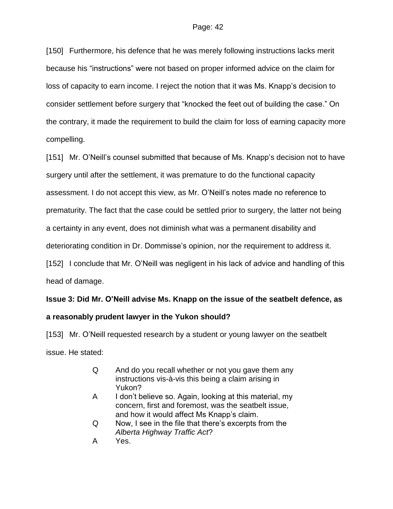[150] Furthermore, his defence that he was merely following instructions lacks merit because his "instructions" were not based on proper informed advice on the claim for loss of capacity to earn income. I reject the notion that it was Ms. Knapp's decision to consider settlement before surgery that "knocked the feet out of building the case." On the contrary, it made the requirement to build the claim for loss of earning capacity more compelling.

[151] Mr. O'Neill's counsel submitted that because of Ms. Knapp's decision not to have surgery until after the settlement, it was premature to do the functional capacity assessment. I do not accept this view, as Mr. O'Neill's notes made no reference to prematurity. The fact that the case could be settled prior to surgery, the latter not being a certainty in any event, does not diminish what was a permanent disability and deteriorating condition in Dr. Dommisse's opinion, nor the requirement to address it. [152] I conclude that Mr. O'Neill was negligent in his lack of advice and handling of this head of damage.

# **Issue 3: Did Mr. O'Neill advise Ms. Knapp on the issue of the seatbelt defence, as**

# **a reasonably prudent lawyer in the Yukon should?**

[153] Mr. O'Neill requested research by a student or young lawyer on the seatbelt issue. He stated:

- Q And do you recall whether or not you gave them any instructions vis-à-vis this being a claim arising in Yukon?
- A I don't believe so. Again, looking at this material, my concern, first and foremost, was the seatbelt issue, and how it would affect Ms Knapp's claim.
- Q Now, I see in the file that there's excerpts from the *Alberta Highway Traffic Act*?
- A Yes.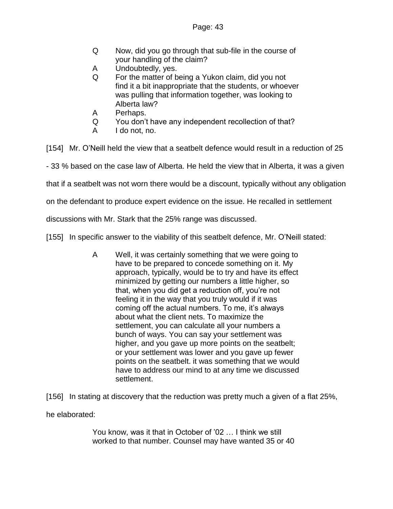- Q Now, did you go through that sub-file in the course of your handling of the claim?
- A Undoubtedly, yes.
- Q For the matter of being a Yukon claim, did you not find it a bit inappropriate that the students, or whoever was pulling that information together, was looking to Alberta law?
- A Perhaps.
- Q You don't have any independent recollection of that?
- A I do not, no.

[154] Mr. O'Neill held the view that a seatbelt defence would result in a reduction of 25

- 33 % based on the case law of Alberta. He held the view that in Alberta, it was a given

that if a seatbelt was not worn there would be a discount, typically without any obligation

on the defendant to produce expert evidence on the issue. He recalled in settlement

discussions with Mr. Stark that the 25% range was discussed.

[155] In specific answer to the viability of this seatbelt defence, Mr. O'Neill stated:

A Well, it was certainly something that we were going to have to be prepared to concede something on it. My approach, typically, would be to try and have its effect minimized by getting our numbers a little higher, so that, when you did get a reduction off, you're not feeling it in the way that you truly would if it was coming off the actual numbers. To me, it's always about what the client nets. To maximize the settlement, you can calculate all your numbers a bunch of ways. You can say your settlement was higher, and you gave up more points on the seatbelt; or your settlement was lower and you gave up fewer points on the seatbelt. it was something that we would have to address our mind to at any time we discussed settlement.

[156] In stating at discovery that the reduction was pretty much a given of a flat 25%,

he elaborated:

You know, was it that in October of '02 … I think we still worked to that number. Counsel may have wanted 35 or 40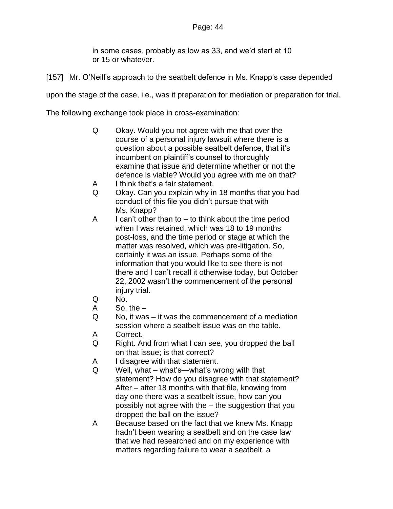in some cases, probably as low as 33, and we'd start at 10 or 15 or whatever.

[157] Mr. O'Neill's approach to the seatbelt defence in Ms. Knapp's case depended

upon the stage of the case, i.e., was it preparation for mediation or preparation for trial.

The following exchange took place in cross-examination:

- Q Okay. Would you not agree with me that over the course of a personal injury lawsuit where there is a question about a possible seatbelt defence, that it's incumbent on plaintiff's counsel to thoroughly examine that issue and determine whether or not the defence is viable? Would you agree with me on that?
- A I think that's a fair statement.
- Q Okay. Can you explain why in 18 months that you had conduct of this file you didn't pursue that with Ms. Knapp?
- $A$  I can't other than to  $-$  to think about the time period when I was retained, which was 18 to 19 months post-loss, and the time period or stage at which the matter was resolved, which was pre-litigation. So, certainly it was an issue. Perhaps some of the information that you would like to see there is not there and I can't recall it otherwise today, but October 22, 2002 wasn't the commencement of the personal injury trial.
- Q No.
- A So, the –
- Q No, it was it was the commencement of a mediation session where a seatbelt issue was on the table.
- A Correct.
- Q Right. And from what I can see, you dropped the ball on that issue; is that correct?
- A I disagree with that statement.
- Q Well, what what's—what's wrong with that statement? How do you disagree with that statement? After – after 18 months with that file, knowing from day one there was a seatbelt issue, how can you possibly not agree with the – the suggestion that you dropped the ball on the issue?
- A Because based on the fact that we knew Ms. Knapp hadn't been wearing a seatbelt and on the case law that we had researched and on my experience with matters regarding failure to wear a seatbelt, a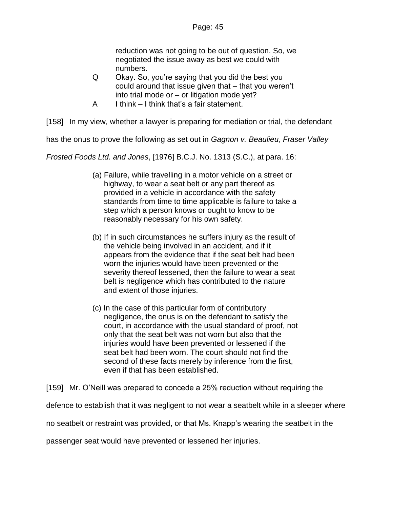reduction was not going to be out of question. So, we negotiated the issue away as best we could with numbers.

- Q Okay. So, you're saying that you did the best you could around that issue given that – that you weren't into trial mode or – or litigation mode yet?
- A I think I think that's a fair statement.

[158] In my view, whether a lawyer is preparing for mediation or trial, the defendant

has the onus to prove the following as set out in *Gagnon v. Beaulieu*, *Fraser Valley* 

*Frosted Foods Ltd. and Jones*, [1976] B.C.J. No. 1313 (S.C.), at para. 16:

- (a) Failure, while travelling in a motor vehicle on a street or highway, to wear a seat belt or any part thereof as provided in a vehicle in accordance with the safety standards from time to time applicable is failure to take a step which a person knows or ought to know to be reasonably necessary for his own safety.
- (b) If in such circumstances he suffers injury as the result of the vehicle being involved in an accident, and if it appears from the evidence that if the seat belt had been worn the injuries would have been prevented or the severity thereof lessened, then the failure to wear a seat belt is negligence which has contributed to the nature and extent of those injuries.
- (c) In the case of this particular form of contributory negligence, the onus is on the defendant to satisfy the court, in accordance with the usual standard of proof, not only that the seat belt was not worn but also that the injuries would have been prevented or lessened if the seat belt had been worn. The court should not find the second of these facts merely by inference from the first, even if that has been established.

[159] Mr. O'Neill was prepared to concede a 25% reduction without requiring the

defence to establish that it was negligent to not wear a seatbelt while in a sleeper where

no seatbelt or restraint was provided, or that Ms. Knapp's wearing the seatbelt in the

passenger seat would have prevented or lessened her injuries.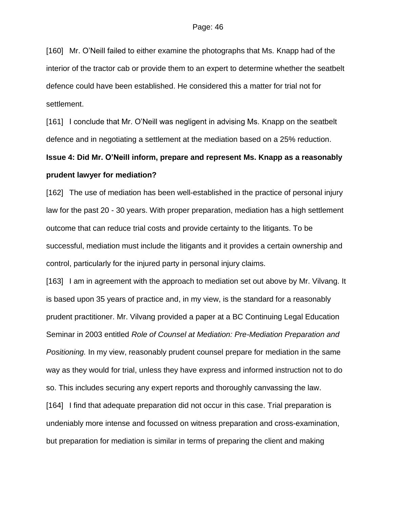[160] Mr. O'Neill failed to either examine the photographs that Ms. Knapp had of the interior of the tractor cab or provide them to an expert to determine whether the seatbelt defence could have been established. He considered this a matter for trial not for settlement.

[161] I conclude that Mr. O'Neill was negligent in advising Ms. Knapp on the seatbelt defence and in negotiating a settlement at the mediation based on a 25% reduction.

# **Issue 4: Did Mr. O'Neill inform, prepare and represent Ms. Knapp as a reasonably prudent lawyer for mediation?**

[162] The use of mediation has been well-established in the practice of personal injury law for the past 20 - 30 years. With proper preparation, mediation has a high settlement outcome that can reduce trial costs and provide certainty to the litigants. To be successful, mediation must include the litigants and it provides a certain ownership and control, particularly for the injured party in personal injury claims.

[163] I am in agreement with the approach to mediation set out above by Mr. Vilvang. It is based upon 35 years of practice and, in my view, is the standard for a reasonably prudent practitioner. Mr. Vilvang provided a paper at a BC Continuing Legal Education Seminar in 2003 entitled *Role of Counsel at Mediation: Pre-Mediation Preparation and Positioning.* In my view, reasonably prudent counsel prepare for mediation in the same way as they would for trial, unless they have express and informed instruction not to do so. This includes securing any expert reports and thoroughly canvassing the law.

[164] I find that adequate preparation did not occur in this case. Trial preparation is undeniably more intense and focussed on witness preparation and cross-examination, but preparation for mediation is similar in terms of preparing the client and making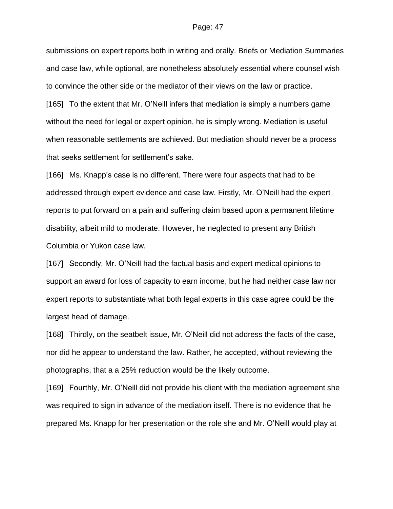submissions on expert reports both in writing and orally. Briefs or Mediation Summaries and case law, while optional, are nonetheless absolutely essential where counsel wish to convince the other side or the mediator of their views on the law or practice. [165] To the extent that Mr. O'Neill infers that mediation is simply a numbers game without the need for legal or expert opinion, he is simply wrong. Mediation is useful when reasonable settlements are achieved. But mediation should never be a process

that seeks settlement for settlement's sake.

[166] Ms. Knapp's case is no different. There were four aspects that had to be addressed through expert evidence and case law. Firstly, Mr. O'Neill had the expert reports to put forward on a pain and suffering claim based upon a permanent lifetime disability, albeit mild to moderate. However, he neglected to present any British Columbia or Yukon case law.

[167] Secondly, Mr. O'Neill had the factual basis and expert medical opinions to support an award for loss of capacity to earn income, but he had neither case law nor expert reports to substantiate what both legal experts in this case agree could be the largest head of damage.

[168] Thirdly, on the seatbelt issue, Mr. O'Neill did not address the facts of the case, nor did he appear to understand the law. Rather, he accepted, without reviewing the photographs, that a a 25% reduction would be the likely outcome.

[169] Fourthly, Mr. O'Neill did not provide his client with the mediation agreement she was required to sign in advance of the mediation itself. There is no evidence that he prepared Ms. Knapp for her presentation or the role she and Mr. O'Neill would play at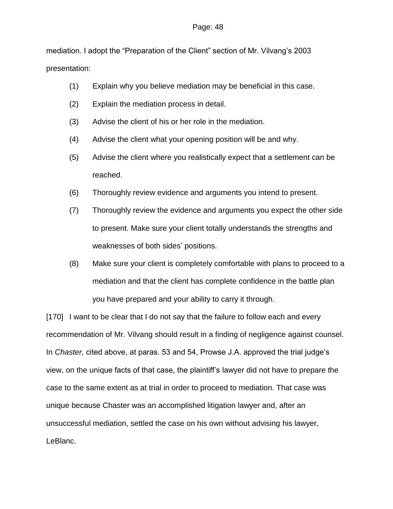mediation. I adopt the "Preparation of the Client" section of Mr. Vilvang's 2003 presentation:

- (1) Explain why you believe mediation may be beneficial in this case.
- (2) Explain the mediation process in detail.
- (3) Advise the client of his or her role in the mediation.
- (4) Advise the client what your opening position will be and why.
- (5) Advise the client where you realistically expect that a settlement can be reached.
- (6) Thoroughly review evidence and arguments you intend to present.
- (7) Thoroughly review the evidence and arguments you expect the other side to present. Make sure your client totally understands the strengths and weaknesses of both sides' positions.
- (8) Make sure your client is completely comfortable with plans to proceed to a mediation and that the client has complete confidence in the battle plan you have prepared and your ability to carry it through.

[170] I want to be clear that I do not say that the failure to follow each and every recommendation of Mr. Vilvang should result in a finding of negligence against counsel. In *Chaster*, cited above, at paras. 53 and 54, Prowse J.A. approved the trial judge's view, on the unique facts of that case, the plaintiff's lawyer did not have to prepare the case to the same extent as at trial in order to proceed to mediation. That case was unique because Chaster was an accomplished litigation lawyer and, after an unsuccessful mediation, settled the case on his own without advising his lawyer, LeBlanc.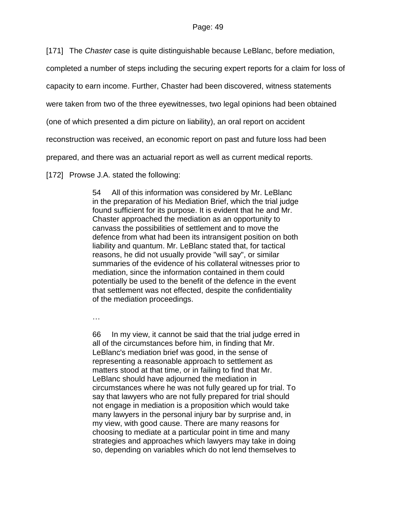[171] The *Chaster* case is quite distinguishable because LeBlanc, before mediation,

completed a number of steps including the securing expert reports for a claim for loss of

capacity to earn income. Further, Chaster had been discovered, witness statements

were taken from two of the three eyewitnesses, two legal opinions had been obtained

(one of which presented a dim picture on liability), an oral report on accident

reconstruction was received, an economic report on past and future loss had been

prepared, and there was an actuarial report as well as current medical reports.

[172] Prowse J.A. stated the following:

54 All of this information was considered by Mr. LeBlanc in the preparation of his Mediation Brief, which the trial judge found sufficient for its purpose. It is evident that he and Mr. Chaster approached the mediation as an opportunity to canvass the possibilities of settlement and to move the defence from what had been its intransigent position on both liability and quantum. Mr. LeBlanc stated that, for tactical reasons, he did not usually provide "will say", or similar summaries of the evidence of his collateral witnesses prior to mediation, since the information contained in them could potentially be used to the benefit of the defence in the event that settlement was not effected, despite the confidentiality of the mediation proceedings.

…

66 In my view, it cannot be said that the trial judge erred in all of the circumstances before him, in finding that Mr. LeBlanc's mediation brief was good, in the sense of representing a reasonable approach to settlement as matters stood at that time, or in failing to find that Mr. LeBlanc should have adjourned the mediation in circumstances where he was not fully geared up for trial. To say that lawyers who are not fully prepared for trial should not engage in mediation is a proposition which would take many lawyers in the personal injury bar by surprise and, in my view, with good cause. There are many reasons for choosing to mediate at a particular point in time and many strategies and approaches which lawyers may take in doing so, depending on variables which do not lend themselves to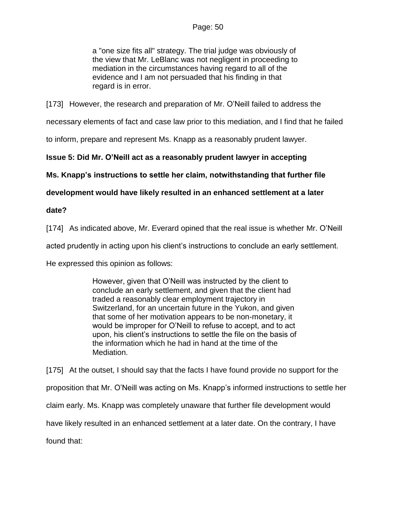a "one size fits all" strategy. The trial judge was obviously of the view that Mr. LeBlanc was not negligent in proceeding to mediation in the circumstances having regard to all of the evidence and I am not persuaded that his finding in that regard is in error.

[173] However, the research and preparation of Mr. O'Neill failed to address the

necessary elements of fact and case law prior to this mediation, and I find that he failed

to inform, prepare and represent Ms. Knapp as a reasonably prudent lawyer.

**Issue 5: Did Mr. O'Neill act as a reasonably prudent lawyer in accepting** 

**Ms. Knapp's instructions to settle her claim, notwithstanding that further file** 

### **development would have likely resulted in an enhanced settlement at a later**

### **date?**

[174] As indicated above, Mr. Everard opined that the real issue is whether Mr. O'Neill

acted prudently in acting upon his client's instructions to conclude an early settlement.

He expressed this opinion as follows:

However, given that O'Neill was instructed by the client to conclude an early settlement, and given that the client had traded a reasonably clear employment trajectory in Switzerland, for an uncertain future in the Yukon, and given that some of her motivation appears to be non-monetary, it would be improper for O'Neill to refuse to accept, and to act upon, his client's instructions to settle the file on the basis of the information which he had in hand at the time of the Mediation.

[175] At the outset, I should say that the facts I have found provide no support for the proposition that Mr. O'Neill was acting on Ms. Knapp's informed instructions to settle her claim early. Ms. Knapp was completely unaware that further file development would have likely resulted in an enhanced settlement at a later date. On the contrary, I have found that: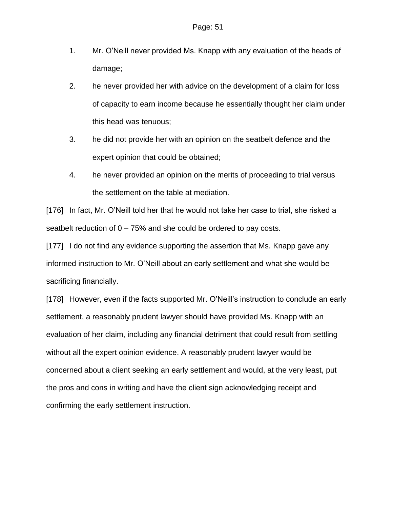- 1. Mr. O'Neill never provided Ms. Knapp with any evaluation of the heads of damage;
- 2. he never provided her with advice on the development of a claim for loss of capacity to earn income because he essentially thought her claim under this head was tenuous;
- 3. he did not provide her with an opinion on the seatbelt defence and the expert opinion that could be obtained;
- 4. he never provided an opinion on the merits of proceeding to trial versus the settlement on the table at mediation.

[176] In fact, Mr. O'Neill told her that he would not take her case to trial, she risked a seatbelt reduction of  $0 - 75%$  and she could be ordered to pay costs.

[177] I do not find any evidence supporting the assertion that Ms. Knapp gave any informed instruction to Mr. O'Neill about an early settlement and what she would be sacrificing financially.

[178] However, even if the facts supported Mr. O'Neill's instruction to conclude an early settlement, a reasonably prudent lawyer should have provided Ms. Knapp with an evaluation of her claim, including any financial detriment that could result from settling without all the expert opinion evidence. A reasonably prudent lawyer would be concerned about a client seeking an early settlement and would, at the very least, put the pros and cons in writing and have the client sign acknowledging receipt and confirming the early settlement instruction.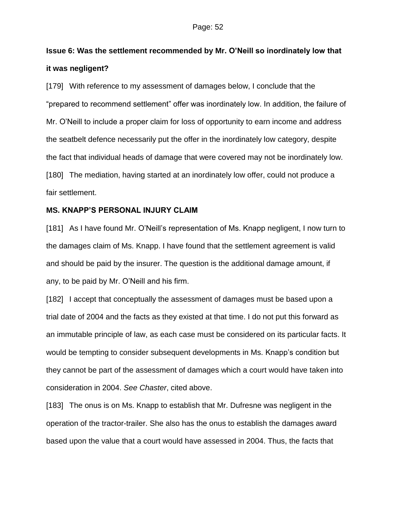# **Issue 6: Was the settlement recommended by Mr. O'Neill so inordinately low that it was negligent?**

[179] With reference to my assessment of damages below, I conclude that the "prepared to recommend settlement" offer was inordinately low. In addition, the failure of Mr. O'Neill to include a proper claim for loss of opportunity to earn income and address the seatbelt defence necessarily put the offer in the inordinately low category, despite the fact that individual heads of damage that were covered may not be inordinately low. [180] The mediation, having started at an inordinately low offer, could not produce a fair settlement.

### **MS. KNAPP'S PERSONAL INJURY CLAIM**

[181] As I have found Mr. O'Neill's representation of Ms. Knapp negligent, I now turn to the damages claim of Ms. Knapp. I have found that the settlement agreement is valid and should be paid by the insurer. The question is the additional damage amount, if any, to be paid by Mr. O'Neill and his firm.

[182] I accept that conceptually the assessment of damages must be based upon a trial date of 2004 and the facts as they existed at that time. I do not put this forward as an immutable principle of law, as each case must be considered on its particular facts. It would be tempting to consider subsequent developments in Ms. Knapp's condition but they cannot be part of the assessment of damages which a court would have taken into consideration in 2004. *See Chaster*, cited above.

[183] The onus is on Ms. Knapp to establish that Mr. Dufresne was negligent in the operation of the tractor-trailer. She also has the onus to establish the damages award based upon the value that a court would have assessed in 2004. Thus, the facts that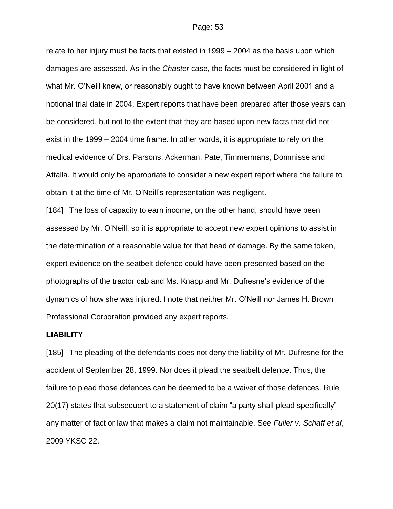relate to her injury must be facts that existed in 1999 – 2004 as the basis upon which damages are assessed. As in the *Chaster* case, the facts must be considered in light of what Mr. O'Neill knew, or reasonably ought to have known between April 2001 and a notional trial date in 2004. Expert reports that have been prepared after those years can be considered, but not to the extent that they are based upon new facts that did not exist in the 1999 – 2004 time frame. In other words, it is appropriate to rely on the medical evidence of Drs. Parsons, Ackerman, Pate, Timmermans, Dommisse and Attalla. It would only be appropriate to consider a new expert report where the failure to obtain it at the time of Mr. O'Neill's representation was negligent.

[184] The loss of capacity to earn income, on the other hand, should have been assessed by Mr. O'Neill, so it is appropriate to accept new expert opinions to assist in the determination of a reasonable value for that head of damage. By the same token, expert evidence on the seatbelt defence could have been presented based on the photographs of the tractor cab and Ms. Knapp and Mr. Dufresne's evidence of the dynamics of how she was injured. I note that neither Mr. O'Neill nor James H. Brown Professional Corporation provided any expert reports.

#### **LIABILITY**

[185] The pleading of the defendants does not deny the liability of Mr. Dufresne for the accident of September 28, 1999. Nor does it plead the seatbelt defence. Thus, the failure to plead those defences can be deemed to be a waiver of those defences. Rule 20(17) states that subsequent to a statement of claim "a party shall plead specifically" any matter of fact or law that makes a claim not maintainable. See *Fuller v. Schaff et al*, 2009 YKSC 22.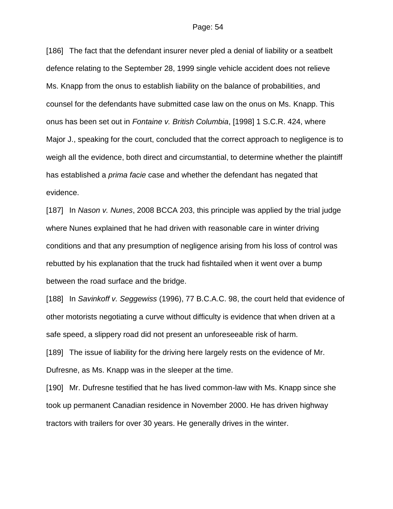[186] The fact that the defendant insurer never pled a denial of liability or a seatbelt defence relating to the September 28, 1999 single vehicle accident does not relieve Ms. Knapp from the onus to establish liability on the balance of probabilities, and counsel for the defendants have submitted case law on the onus on Ms. Knapp. This onus has been set out in *Fontaine v. British Columbia*, [1998] 1 S.C.R. 424, where Major J., speaking for the court, concluded that the correct approach to negligence is to weigh all the evidence, both direct and circumstantial, to determine whether the plaintiff has established a *prima facie* case and whether the defendant has negated that evidence.

[187] In *Nason v. Nunes*, 2008 BCCA 203, this principle was applied by the trial judge where Nunes explained that he had driven with reasonable care in winter driving conditions and that any presumption of negligence arising from his loss of control was rebutted by his explanation that the truck had fishtailed when it went over a bump between the road surface and the bridge.

[188] In *Savinkoff v. Seggewiss* (1996), 77 B.C.A.C. 98, the court held that evidence of other motorists negotiating a curve without difficulty is evidence that when driven at a safe speed, a slippery road did not present an unforeseeable risk of harm.

[189] The issue of liability for the driving here largely rests on the evidence of Mr. Dufresne, as Ms. Knapp was in the sleeper at the time.

[190] Mr. Dufresne testified that he has lived common-law with Ms. Knapp since she took up permanent Canadian residence in November 2000. He has driven highway tractors with trailers for over 30 years. He generally drives in the winter.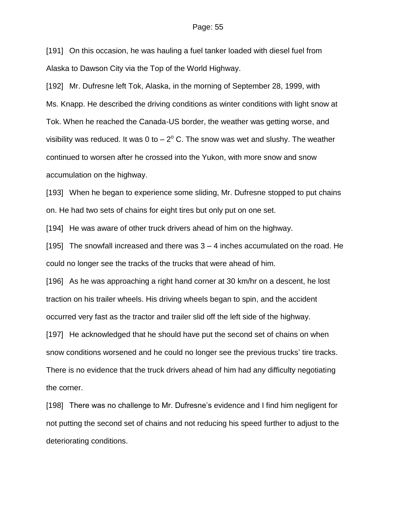[191] On this occasion, he was hauling a fuel tanker loaded with diesel fuel from Alaska to Dawson City via the Top of the World Highway.

[192] Mr. Dufresne left Tok, Alaska, in the morning of September 28, 1999, with Ms. Knapp. He described the driving conditions as winter conditions with light snow at Tok. When he reached the Canada-US border, the weather was getting worse, and visibility was reduced. It was 0 to  $-2^{\circ}$  C. The snow was wet and slushy. The weather continued to worsen after he crossed into the Yukon, with more snow and snow accumulation on the highway.

[193] When he began to experience some sliding, Mr. Dufresne stopped to put chains on. He had two sets of chains for eight tires but only put on one set.

[194] He was aware of other truck drivers ahead of him on the highway.

[195] The snowfall increased and there was 3 – 4 inches accumulated on the road. He could no longer see the tracks of the trucks that were ahead of him.

[196] As he was approaching a right hand corner at 30 km/hr on a descent, he lost traction on his trailer wheels. His driving wheels began to spin, and the accident occurred very fast as the tractor and trailer slid off the left side of the highway.

[197] He acknowledged that he should have put the second set of chains on when snow conditions worsened and he could no longer see the previous trucks' tire tracks. There is no evidence that the truck drivers ahead of him had any difficulty negotiating the corner.

[198] There was no challenge to Mr. Dufresne's evidence and I find him negligent for not putting the second set of chains and not reducing his speed further to adjust to the deteriorating conditions.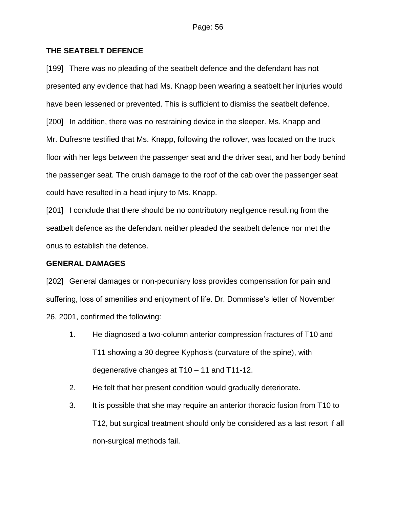### **THE SEATBELT DEFENCE**

[199] There was no pleading of the seatbelt defence and the defendant has not presented any evidence that had Ms. Knapp been wearing a seatbelt her injuries would have been lessened or prevented. This is sufficient to dismiss the seatbelt defence. [200] In addition, there was no restraining device in the sleeper. Ms. Knapp and Mr. Dufresne testified that Ms. Knapp, following the rollover, was located on the truck floor with her legs between the passenger seat and the driver seat, and her body behind the passenger seat. The crush damage to the roof of the cab over the passenger seat could have resulted in a head injury to Ms. Knapp.

[201] I conclude that there should be no contributory negligence resulting from the seatbelt defence as the defendant neither pleaded the seatbelt defence nor met the onus to establish the defence.

### **GENERAL DAMAGES**

[202] General damages or non-pecuniary loss provides compensation for pain and suffering, loss of amenities and enjoyment of life. Dr. Dommisse's letter of November 26, 2001, confirmed the following:

- 1. He diagnosed a two-column anterior compression fractures of T10 and T11 showing a 30 degree Kyphosis (curvature of the spine), with degenerative changes at T10 – 11 and T11-12.
- 2. He felt that her present condition would gradually deteriorate.
- 3. It is possible that she may require an anterior thoracic fusion from T10 to T12, but surgical treatment should only be considered as a last resort if all non-surgical methods fail.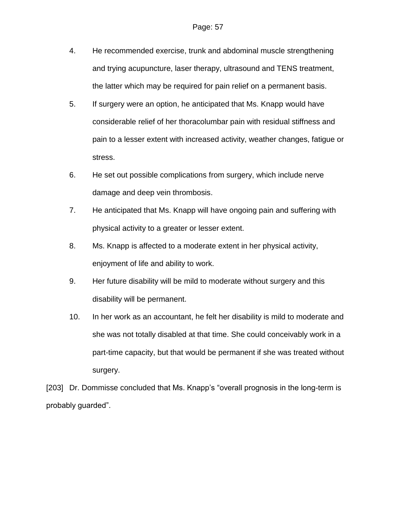- 4. He recommended exercise, trunk and abdominal muscle strengthening and trying acupuncture, laser therapy, ultrasound and TENS treatment, the latter which may be required for pain relief on a permanent basis.
- 5. If surgery were an option, he anticipated that Ms. Knapp would have considerable relief of her thoracolumbar pain with residual stiffness and pain to a lesser extent with increased activity, weather changes, fatigue or stress.
- 6. He set out possible complications from surgery, which include nerve damage and deep vein thrombosis.
- 7. He anticipated that Ms. Knapp will have ongoing pain and suffering with physical activity to a greater or lesser extent.
- 8. Ms. Knapp is affected to a moderate extent in her physical activity, enjoyment of life and ability to work.
- 9. Her future disability will be mild to moderate without surgery and this disability will be permanent.
- 10. In her work as an accountant, he felt her disability is mild to moderate and she was not totally disabled at that time. She could conceivably work in a part-time capacity, but that would be permanent if she was treated without surgery.

[203] Dr. Dommisse concluded that Ms. Knapp's "overall prognosis in the long-term is probably guarded".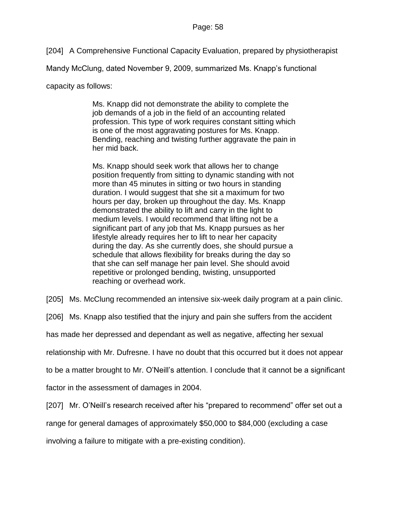[204] A Comprehensive Functional Capacity Evaluation, prepared by physiotherapist

Mandy McClung, dated November 9, 2009, summarized Ms. Knapp's functional

capacity as follows:

Ms. Knapp did not demonstrate the ability to complete the job demands of a job in the field of an accounting related profession. This type of work requires constant sitting which is one of the most aggravating postures for Ms. Knapp. Bending, reaching and twisting further aggravate the pain in her mid back.

Ms. Knapp should seek work that allows her to change position frequently from sitting to dynamic standing with not more than 45 minutes in sitting or two hours in standing duration. I would suggest that she sit a maximum for two hours per day, broken up throughout the day. Ms. Knapp demonstrated the ability to lift and carry in the light to medium levels. I would recommend that lifting not be a significant part of any job that Ms. Knapp pursues as her lifestyle already requires her to lift to near her capacity during the day. As she currently does, she should pursue a schedule that allows flexibility for breaks during the day so that she can self manage her pain level. She should avoid repetitive or prolonged bending, twisting, unsupported reaching or overhead work.

[205] Ms. McClung recommended an intensive six-week daily program at a pain clinic.

[206] Ms. Knapp also testified that the injury and pain she suffers from the accident

has made her depressed and dependant as well as negative, affecting her sexual

relationship with Mr. Dufresne. I have no doubt that this occurred but it does not appear

to be a matter brought to Mr. O'Neill's attention. I conclude that it cannot be a significant

factor in the assessment of damages in 2004.

[207] Mr. O'Neill's research received after his "prepared to recommend" offer set out a

range for general damages of approximately \$50,000 to \$84,000 (excluding a case

involving a failure to mitigate with a pre-existing condition).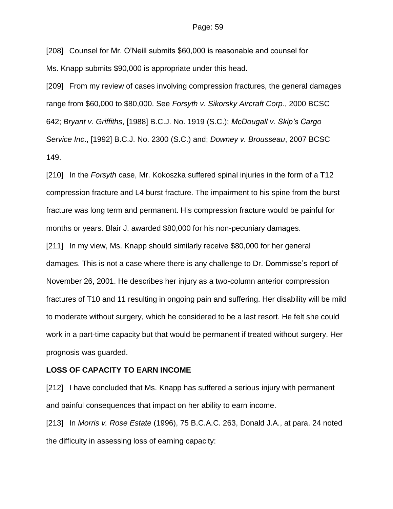[208] Counsel for Mr. O'Neill submits \$60,000 is reasonable and counsel for Ms. Knapp submits \$90,000 is appropriate under this head.

[209] From my review of cases involving compression fractures, the general damages range from \$60,000 to \$80,000. See *Forsyth v. Sikorsky Aircraft Corp.*, 2000 BCSC 642; *Bryant v. Griffiths*, [1988] B.C.J. No. 1919 (S.C.); *McDougall v. Skip's Cargo Service Inc*., [1992] B.C.J. No. 2300 (S.C.) and; *Downey v. Brousseau*, 2007 BCSC 149.

[210] In the *Forsyth* case, Mr. Kokoszka suffered spinal injuries in the form of a T12 compression fracture and L4 burst fracture. The impairment to his spine from the burst fracture was long term and permanent. His compression fracture would be painful for months or years. Blair J. awarded \$80,000 for his non-pecuniary damages.

[211] In my view, Ms. Knapp should similarly receive \$80,000 for her general damages. This is not a case where there is any challenge to Dr. Dommisse's report of November 26, 2001. He describes her injury as a two-column anterior compression fractures of T10 and 11 resulting in ongoing pain and suffering. Her disability will be mild to moderate without surgery, which he considered to be a last resort. He felt she could work in a part-time capacity but that would be permanent if treated without surgery. Her prognosis was guarded.

#### **LOSS OF CAPACITY TO EARN INCOME**

[212] I have concluded that Ms. Knapp has suffered a serious injury with permanent and painful consequences that impact on her ability to earn income.

[213] In *Morris v. Rose Estate* (1996), 75 B.C.A.C. 263, Donald J.A., at para. 24 noted the difficulty in assessing loss of earning capacity: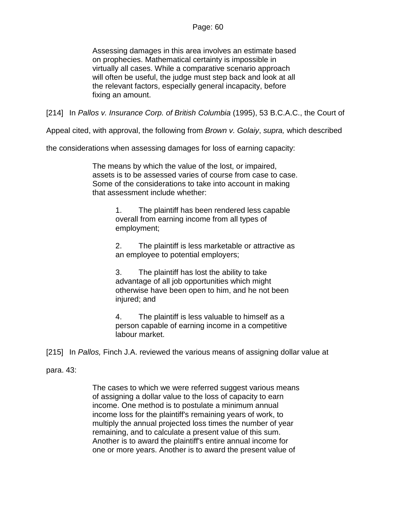Assessing damages in this area involves an estimate based on prophecies. Mathematical certainty is impossible in virtually all cases. While a comparative scenario approach will often be useful, the judge must step back and look at all the relevant factors, especially general incapacity, before fixing an amount.

[214] In *Pallos v. Insurance Corp. of British Columbia* (1995), 53 B.C.A.C., the Court of

Appeal cited, with approval, the following from *Brown v. Golaiy*, *supra,* which described

the considerations when assessing damages for loss of earning capacity:

The means by which the value of the lost, or impaired, assets is to be assessed varies of course from case to case. Some of the considerations to take into account in making that assessment include whether:

> 1. The plaintiff has been rendered less capable overall from earning income from all types of employment;

2. The plaintiff is less marketable or attractive as an employee to potential employers;

3. The plaintiff has lost the ability to take advantage of all job opportunities which might otherwise have been open to him, and he not been injured; and

4. The plaintiff is less valuable to himself as a person capable of earning income in a competitive labour market.

[215] In *Pallos,* Finch J.A. reviewed the various means of assigning dollar value at

### para. 43:

The cases to which we were referred suggest various means of assigning a dollar value to the loss of capacity to earn income. One method is to postulate a minimum annual income loss for the plaintiff's remaining years of work, to multiply the annual projected loss times the number of year remaining, and to calculate a present value of this sum. Another is to award the plaintiff's entire annual income for one or more years. Another is to award the present value of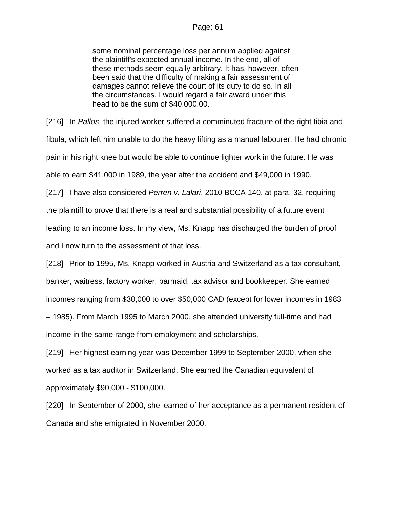### Page: 61

some nominal percentage loss per annum applied against the plaintiff's expected annual income. In the end, all of these methods seem equally arbitrary. It has, however, often been said that the difficulty of making a fair assessment of damages cannot relieve the court of its duty to do so. In all the circumstances, I would regard a fair award under this head to be the sum of \$40,000.00.

[216] In *Pallos*, the injured worker suffered a comminuted fracture of the right tibia and fibula, which left him unable to do the heavy lifting as a manual labourer. He had chronic pain in his right knee but would be able to continue lighter work in the future. He was able to earn \$41,000 in 1989, the year after the accident and \$49,000 in 1990.

[217] I have also considered *Perren v. Lalari*, 2010 BCCA 140, at para. 32, requiring the plaintiff to prove that there is a real and substantial possibility of a future event leading to an income loss. In my view, Ms. Knapp has discharged the burden of proof and I now turn to the assessment of that loss.

[218] Prior to 1995, Ms. Knapp worked in Austria and Switzerland as a tax consultant, banker, waitress, factory worker, barmaid, tax advisor and bookkeeper. She earned incomes ranging from \$30,000 to over \$50,000 CAD (except for lower incomes in 1983 – 1985). From March 1995 to March 2000, she attended university full-time and had income in the same range from employment and scholarships.

[219] Her highest earning year was December 1999 to September 2000, when she worked as a tax auditor in Switzerland. She earned the Canadian equivalent of approximately \$90,000 - \$100,000.

[220] In September of 2000, she learned of her acceptance as a permanent resident of Canada and she emigrated in November 2000.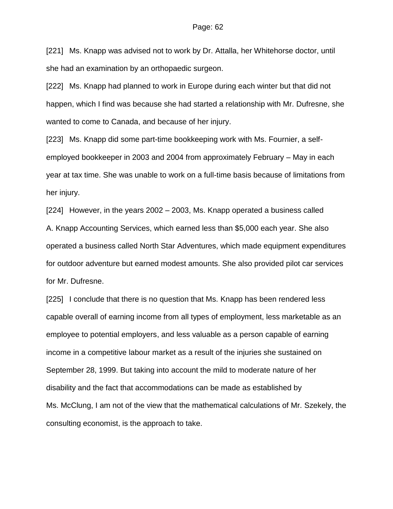[221] Ms. Knapp was advised not to work by Dr. Attalla, her Whitehorse doctor, until she had an examination by an orthopaedic surgeon.

[222] Ms. Knapp had planned to work in Europe during each winter but that did not happen, which I find was because she had started a relationship with Mr. Dufresne, she wanted to come to Canada, and because of her injury.

[223] Ms. Knapp did some part-time bookkeeping work with Ms. Fournier, a selfemployed bookkeeper in 2003 and 2004 from approximately February – May in each year at tax time. She was unable to work on a full-time basis because of limitations from her injury.

[224] However, in the years 2002 – 2003, Ms. Knapp operated a business called A. Knapp Accounting Services, which earned less than \$5,000 each year. She also operated a business called North Star Adventures, which made equipment expenditures for outdoor adventure but earned modest amounts. She also provided pilot car services for Mr. Dufresne.

[225] I conclude that there is no question that Ms. Knapp has been rendered less capable overall of earning income from all types of employment, less marketable as an employee to potential employers, and less valuable as a person capable of earning income in a competitive labour market as a result of the injuries she sustained on September 28, 1999. But taking into account the mild to moderate nature of her disability and the fact that accommodations can be made as established by Ms. McClung, I am not of the view that the mathematical calculations of Mr. Szekely, the consulting economist, is the approach to take.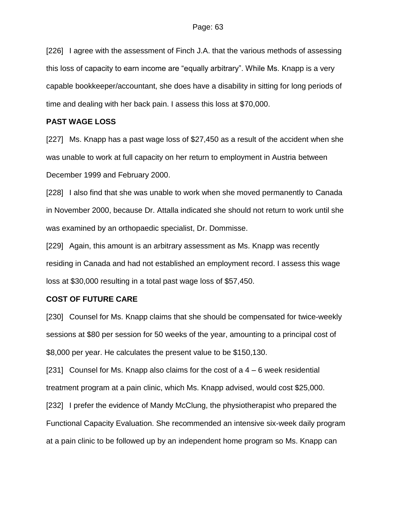[226] I agree with the assessment of Finch J.A. that the various methods of assessing this loss of capacity to earn income are "equally arbitrary". While Ms. Knapp is a very capable bookkeeper/accountant, she does have a disability in sitting for long periods of time and dealing with her back pain. I assess this loss at \$70,000.

### **PAST WAGE LOSS**

[227] Ms. Knapp has a past wage loss of \$27,450 as a result of the accident when she was unable to work at full capacity on her return to employment in Austria between December 1999 and February 2000.

[228] I also find that she was unable to work when she moved permanently to Canada in November 2000, because Dr. Attalla indicated she should not return to work until she was examined by an orthopaedic specialist, Dr. Dommisse.

[229] Again, this amount is an arbitrary assessment as Ms. Knapp was recently residing in Canada and had not established an employment record. I assess this wage loss at \$30,000 resulting in a total past wage loss of \$57,450.

### **COST OF FUTURE CARE**

[230] Counsel for Ms. Knapp claims that she should be compensated for twice-weekly sessions at \$80 per session for 50 weeks of the year, amounting to a principal cost of \$8,000 per year. He calculates the present value to be \$150,130.

[231] Counsel for Ms. Knapp also claims for the cost of  $a$  4 – 6 week residential treatment program at a pain clinic, which Ms. Knapp advised, would cost \$25,000.

[232] I prefer the evidence of Mandy McClung, the physiotherapist who prepared the Functional Capacity Evaluation. She recommended an intensive six-week daily program at a pain clinic to be followed up by an independent home program so Ms. Knapp can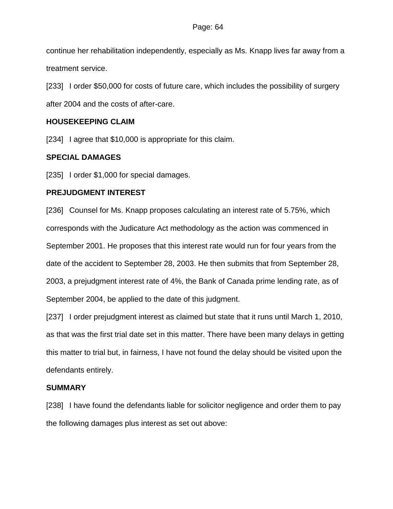continue her rehabilitation independently, especially as Ms. Knapp lives far away from a treatment service.

[233] I order \$50,000 for costs of future care, which includes the possibility of surgery after 2004 and the costs of after-care.

### **HOUSEKEEPING CLAIM**

[234] I agree that \$10,000 is appropriate for this claim.

### **SPECIAL DAMAGES**

[235] I order \$1,000 for special damages.

### **PREJUDGMENT INTEREST**

[236] Counsel for Ms. Knapp proposes calculating an interest rate of 5.75%, which corresponds with the Judicature Act methodology as the action was commenced in September 2001. He proposes that this interest rate would run for four years from the date of the accident to September 28, 2003. He then submits that from September 28, 2003, a prejudgment interest rate of 4%, the Bank of Canada prime lending rate, as of September 2004, be applied to the date of this judgment.

[237] I order prejudgment interest as claimed but state that it runs until March 1, 2010, as that was the first trial date set in this matter. There have been many delays in getting this matter to trial but, in fairness, I have not found the delay should be visited upon the defendants entirely.

### **SUMMARY**

[238] I have found the defendants liable for solicitor negligence and order them to pay the following damages plus interest as set out above: